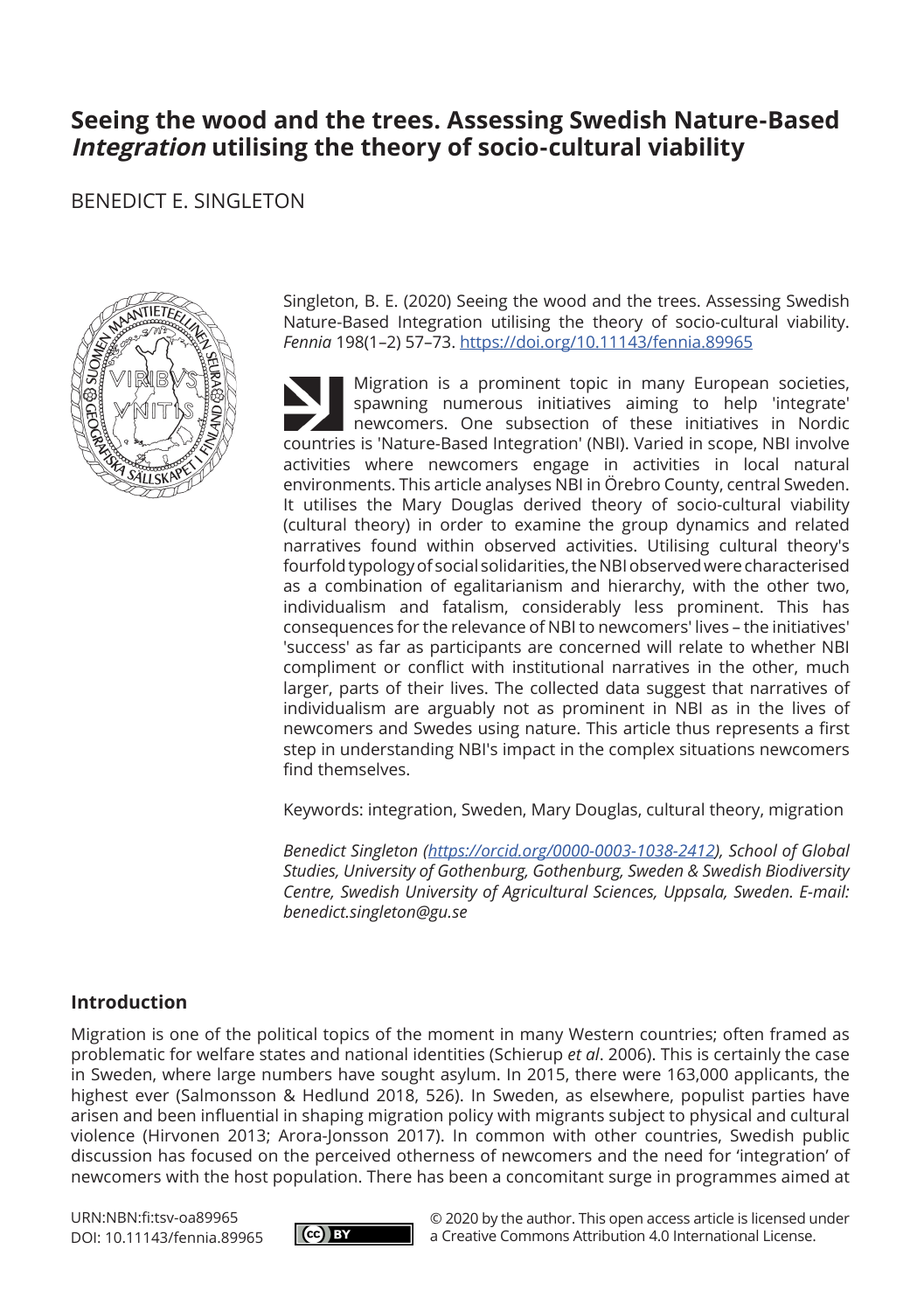# **Seeing the wood and the trees. Assessing Swedish Nature-Based Integration utilising the theory of socio-cultural viability**

## BENEDICT E. SINGLETON



Singleton, B. E. (2020) Seeing the wood and the trees. Assessing Swedish Nature-Based Integration utilising the theory of socio-cultural viability. *Fennia* 198(1–2) 57–73. https://doi.org/10.11143/fennia.89965

Migration is a prominent topic in many European societies, spawning numerous initiatives aiming to help 'integrate' newcomers. One subsection of these initiatives in Nordic countries is 'Nature-Based Integration' (NBI). Varied in scope, NBI involve activities where newcomers engage in activities in local natural environments. This article analyses NBI in Örebro County, central Sweden. It utilises the Mary Douglas derived theory of socio-cultural viability (cultural theory) in order to examine the group dynamics and related narratives found within observed activities. Utilising cultural theory's fourfold typology of social solidarities, the NBI observed were characterised as a combination of egalitarianism and hierarchy, with the other two, individualism and fatalism, considerably less prominent. This has consequences for the relevance of NBI to newcomers' lives – the initiatives' 'success' as far as participants are concerned will relate to whether NBI compliment or conflict with institutional narratives in the other, much larger, parts of their lives. The collected data suggest that narratives of individualism are arguably not as prominent in NBI as in the lives of newcomers and Swedes using nature. This article thus represents a first step in understanding NBI's impact in the complex situations newcomers find themselves.

Keywords: integration, Sweden, Mary Douglas, cultural theory, migration

*Benedict Singleton (https://orcid.org/0000-0003-1038-2412), School of Global Studies, University of Gothenburg, Gothenburg, Sweden & Swedish Biodiversity Centre, Swedish University of Agricultural Sciences, Uppsala, Sweden. E-mail: benedict.singleton@gu.se*

### **Introduction**

Migration is one of the political topics of the moment in many Western countries; often framed as problematic for welfare states and national identities (Schierup *et al*. 2006). This is certainly the case in Sweden, where large numbers have sought asylum. In 2015, there were 163,000 applicants, the highest ever (Salmonsson & Hedlund 2018, 526). In Sweden, as elsewhere, populist parties have arisen and been influential in shaping migration policy with migrants subject to physical and cultural violence (Hirvonen 2013; Arora-Jonsson 2017). In common with other countries, Swedish public discussion has focused on the perceived otherness of newcomers and the need for 'integration' of newcomers with the host population. There has been a concomitant surge in programmes aimed at

URN:NBN:fi:tsv-oa89965 DOI: 10.11143/fennia.89965



© 2020 by the author. This open access article is licensed under a Creative Commons Attribution 4.0 International License.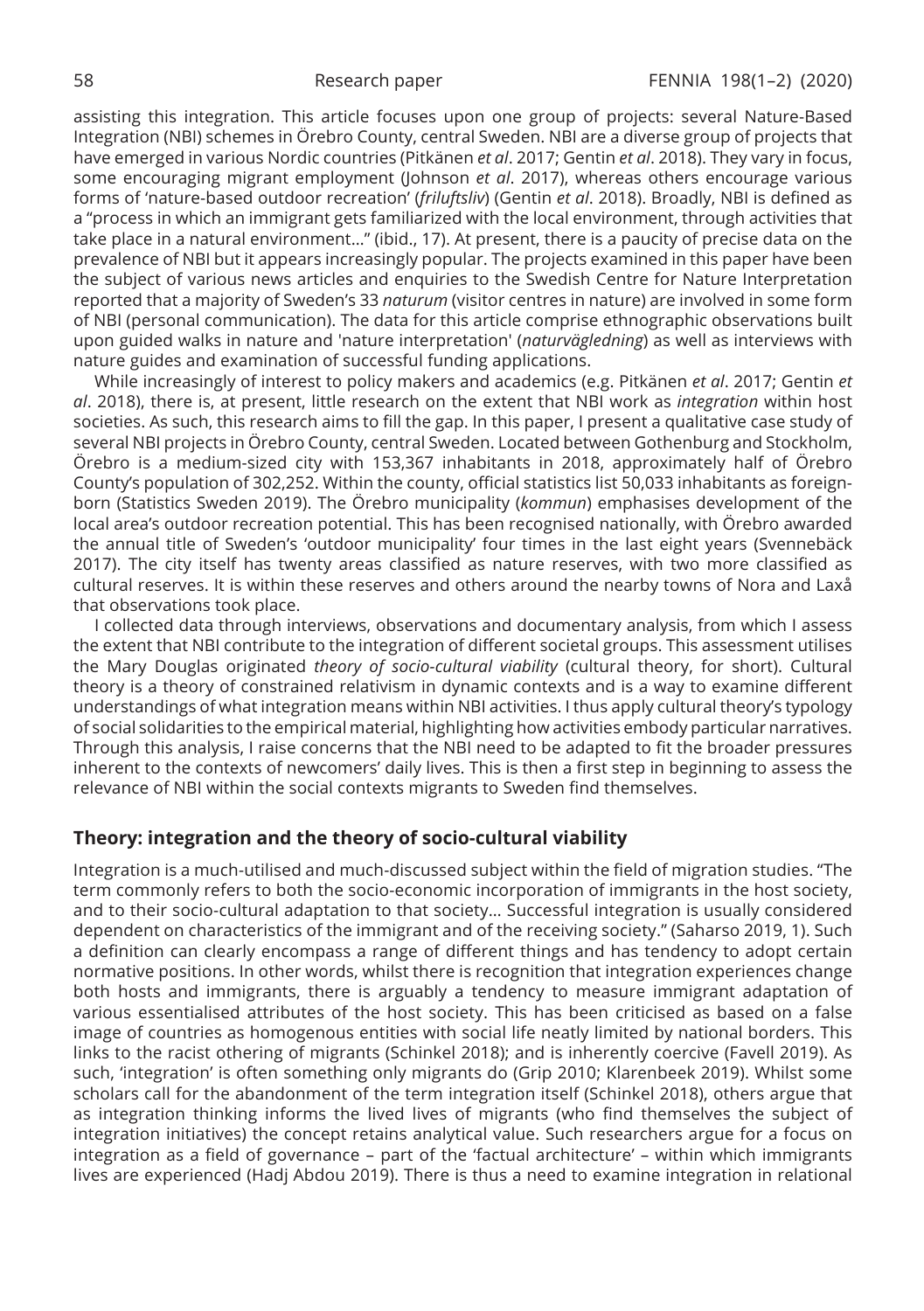assisting this integration. This article focuses upon one group of projects: several Nature-Based Integration (NBI) schemes in Örebro County, central Sweden. NBI are a diverse group of projects that have emerged in various Nordic countries (Pitkänen *et al*. 2017; Gentin *et al*. 2018). They vary in focus, some encouraging migrant employment (Johnson *et al*. 2017), whereas others encourage various forms of 'nature-based outdoor recreation' (*friluftsliv*) (Gentin *et al*. 2018). Broadly, NBI is defined as a "process in which an immigrant gets familiarized with the local environment, through activities that take place in a natural environment…" (ibid., 17). At present, there is a paucity of precise data on the prevalence of NBI but it appears increasingly popular. The projects examined in this paper have been the subject of various news articles and enquiries to the Swedish Centre for Nature Interpretation reported that a majority of Sweden's 33 *naturum* (visitor centres in nature) are involved in some form of NBI (personal communication). The data for this article comprise ethnographic observations built upon guided walks in nature and 'nature interpretation' (*naturvägledning*) as well as interviews with nature guides and examination of successful funding applications.

While increasingly of interest to policy makers and academics (e.g. Pitkänen *et al*. 2017; Gentin *et al*. 2018), there is, at present, little research on the extent that NBI work as *integration* within host societies. As such, this research aims to fill the gap. In this paper, I present a qualitative case study of several NBI projects in Örebro County, central Sweden. Located between Gothenburg and Stockholm, Örebro is a medium-sized city with 153,367 inhabitants in 2018, approximately half of Örebro County's population of 302,252. Within the county, official statistics list 50,033 inhabitants as foreignborn (Statistics Sweden 2019). The Örebro municipality (*kommun*) emphasises development of the local area's outdoor recreation potential. This has been recognised nationally, with Örebro awarded the annual title of Sweden's 'outdoor municipality' four times in the last eight years (Svennebäck 2017). The city itself has twenty areas classified as nature reserves, with two more classified as cultural reserves. It is within these reserves and others around the nearby towns of Nora and Laxå that observations took place.

I collected data through interviews, observations and documentary analysis, from which I assess the extent that NBI contribute to the integration of different societal groups. This assessment utilises the Mary Douglas originated *theory of socio-cultural viability* (cultural theory, for short). Cultural theory is a theory of constrained relativism in dynamic contexts and is a way to examine different understandings of what integration means within NBI activities. I thus apply cultural theory's typology of social solidarities to the empirical material, highlighting how activities embody particular narratives. Through this analysis, I raise concerns that the NBI need to be adapted to fit the broader pressures inherent to the contexts of newcomers' daily lives. This is then a first step in beginning to assess the relevance of NBI within the social contexts migrants to Sweden find themselves.

#### **Theory: integration and the theory of socio-cultural viability**

Integration is a much-utilised and much-discussed subject within the field of migration studies. "The term commonly refers to both the socio-economic incorporation of immigrants in the host society, and to their socio-cultural adaptation to that society… Successful integration is usually considered dependent on characteristics of the immigrant and of the receiving society." (Saharso 2019, 1). Such a definition can clearly encompass a range of different things and has tendency to adopt certain normative positions. In other words, whilst there is recognition that integration experiences change both hosts and immigrants, there is arguably a tendency to measure immigrant adaptation of various essentialised attributes of the host society. This has been criticised as based on a false image of countries as homogenous entities with social life neatly limited by national borders. This links to the racist othering of migrants (Schinkel 2018); and is inherently coercive (Favell 2019). As such, 'integration' is often something only migrants do (Grip 2010; Klarenbeek 2019). Whilst some scholars call for the abandonment of the term integration itself (Schinkel 2018), others argue that as integration thinking informs the lived lives of migrants (who find themselves the subject of integration initiatives) the concept retains analytical value. Such researchers argue for a focus on integration as a field of governance – part of the 'factual architecture' – within which immigrants lives are experienced (Hadj Abdou 2019). There is thus a need to examine integration in relational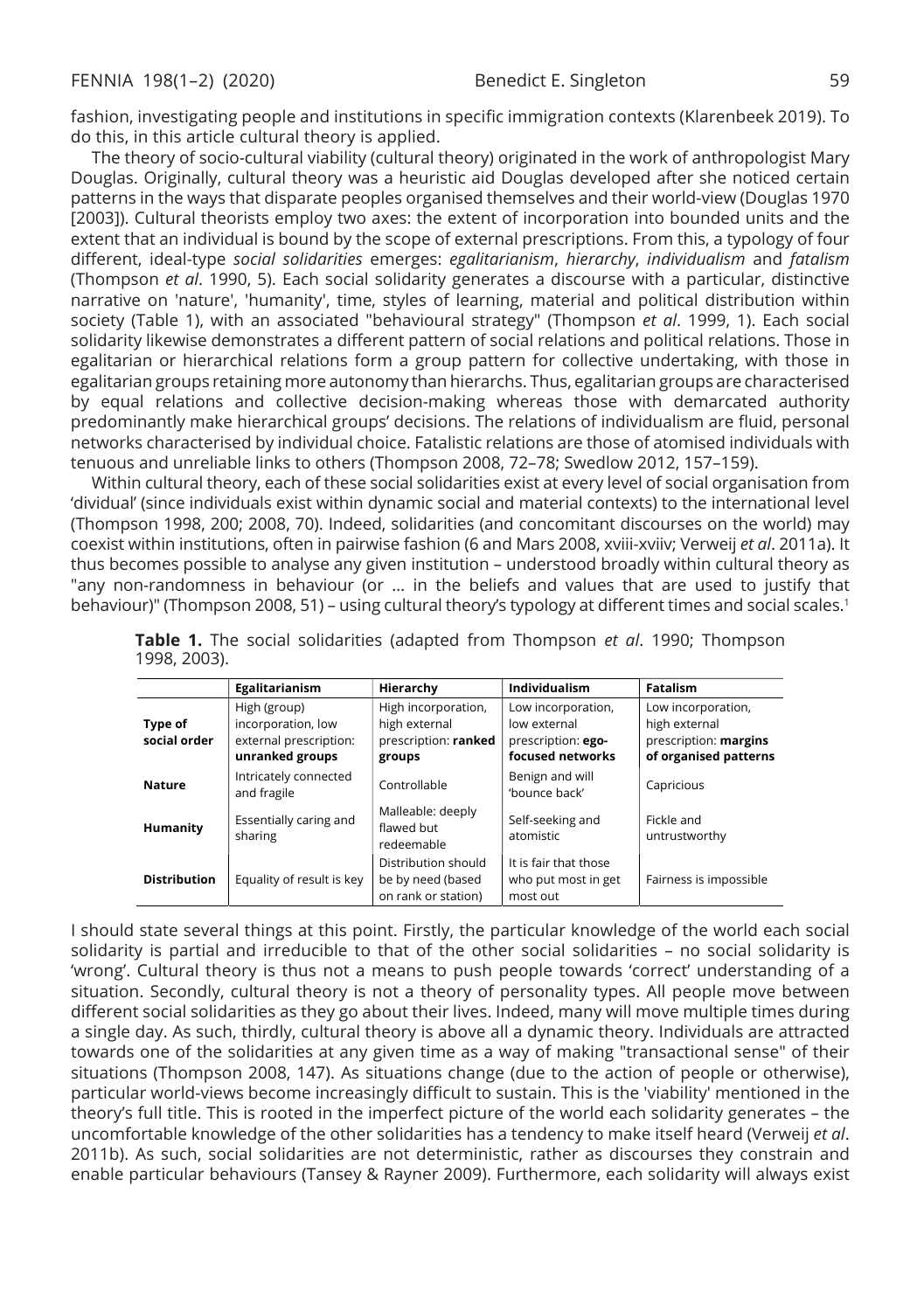fashion, investigating people and institutions in specific immigration contexts (Klarenbeek 2019). To do this, in this article cultural theory is applied.

The theory of socio-cultural viability (cultural theory) originated in the work of anthropologist Mary Douglas. Originally, cultural theory was a heuristic aid Douglas developed after she noticed certain patterns in the ways that disparate peoples organised themselves and their world-view (Douglas 1970 [2003]). Cultural theorists employ two axes: the extent of incorporation into bounded units and the extent that an individual is bound by the scope of external prescriptions. From this, a typology of four different, ideal-type *social solidarities* emerges: *egalitarianism*, *hierarchy*, *individualism* and *fatalism* (Thompson *et al*. 1990, 5). Each social solidarity generates a discourse with a particular, distinctive narrative on 'nature', 'humanity', time, styles of learning, material and political distribution within society (Table 1), with an associated "behavioural strategy" (Thompson *et al*. 1999, 1). Each social solidarity likewise demonstrates a different pattern of social relations and political relations. Those in egalitarian or hierarchical relations form a group pattern for collective undertaking, with those in egalitarian groups retaining more autonomy than hierarchs. Thus, egalitarian groups are characterised by equal relations and collective decision-making whereas those with demarcated authority predominantly make hierarchical groups' decisions. The relations of individualism are fluid, personal networks characterised by individual choice. Fatalistic relations are those of atomised individuals with tenuous and unreliable links to others (Thompson 2008, 72–78; Swedlow 2012, 157–159).

Within cultural theory, each of these social solidarities exist at every level of social organisation from 'dividual' (since individuals exist within dynamic social and material contexts) to the international level (Thompson 1998, 200; 2008, 70). Indeed, solidarities (and concomitant discourses on the world) may coexist within institutions, often in pairwise fashion (6 and Mars 2008, xviii-xviiv; Verweij *et al*. 2011a). It thus becomes possible to analyse any given institution – understood broadly within cultural theory as "any non-randomness in behaviour (or … in the beliefs and values that are used to justify that behaviour)" (Thompson 2008, 51) – using cultural theory's typology at different times and social scales.<sup>1</sup>

|                         | Egalitarianism                                                                  | Hierarchy                                                              | Individualism                                                                | <b>Fatalism</b>                                                                       |  |
|-------------------------|---------------------------------------------------------------------------------|------------------------------------------------------------------------|------------------------------------------------------------------------------|---------------------------------------------------------------------------------------|--|
| Type of<br>social order | High (group)<br>incorporation, low<br>external prescription:<br>unranked groups | High incorporation,<br>high external<br>prescription: ranked<br>groups | Low incorporation,<br>low external<br>prescription: ego-<br>focused networks | Low incorporation,<br>high external<br>prescription: margins<br>of organised patterns |  |
| <b>Nature</b>           | Intricately connected<br>and fragile                                            | Controllable                                                           | Benign and will<br>'bounce back'                                             | Capricious                                                                            |  |
| Humanity                | Essentially caring and<br>sharing                                               | Malleable: deeply<br>flawed but<br>redeemable                          | Self-seeking and<br>atomistic                                                | Fickle and<br>untrustworthy                                                           |  |
| <b>Distribution</b>     | Equality of result is key                                                       | Distribution should<br>be by need (based<br>on rank or station)        | It is fair that those<br>who put most in get<br>most out                     | Fairness is impossible                                                                |  |

| Table 1. The social solidarities (adapted from Thompson et al. 1990; Thompson |  |  |  |  |
|-------------------------------------------------------------------------------|--|--|--|--|
| 1998, 2003).                                                                  |  |  |  |  |

I should state several things at this point. Firstly, the particular knowledge of the world each social solidarity is partial and irreducible to that of the other social solidarities – no social solidarity is 'wrong'. Cultural theory is thus not a means to push people towards 'correct' understanding of a situation. Secondly, cultural theory is not a theory of personality types. All people move between different social solidarities as they go about their lives. Indeed, many will move multiple times during a single day. As such, thirdly, cultural theory is above all a dynamic theory. Individuals are attracted towards one of the solidarities at any given time as a way of making "transactional sense" of their situations (Thompson 2008, 147). As situations change (due to the action of people or otherwise), particular world-views become increasingly difficult to sustain. This is the 'viability' mentioned in the theory's full title. This is rooted in the imperfect picture of the world each solidarity generates – the uncomfortable knowledge of the other solidarities has a tendency to make itself heard (Verweij *et al*. 2011b). As such, social solidarities are not deterministic, rather as discourses they constrain and enable particular behaviours (Tansey & Rayner 2009). Furthermore, each solidarity will always exist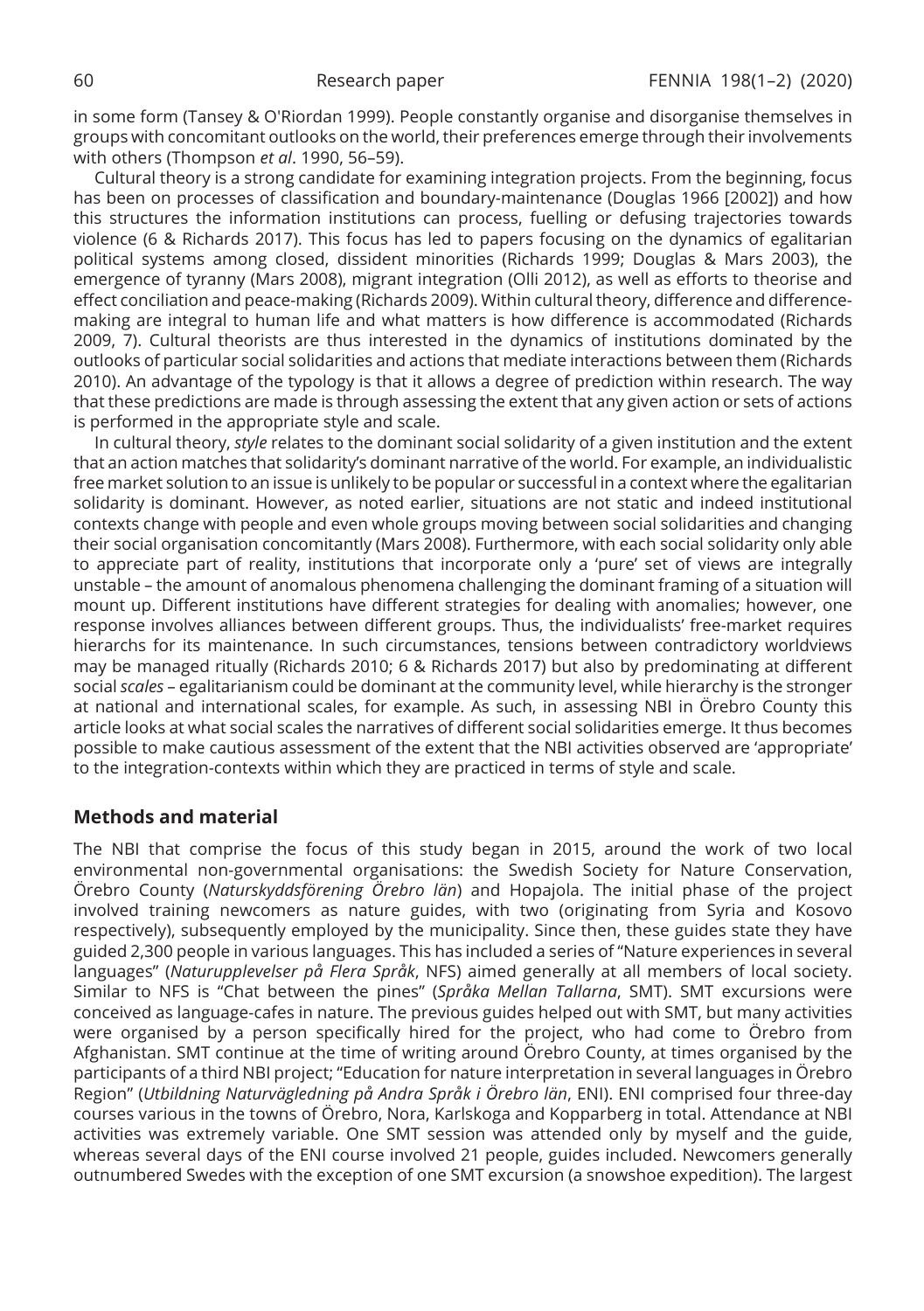in some form (Tansey & O'Riordan 1999). People constantly organise and disorganise themselves in groups with concomitant outlooks on the world, their preferences emerge through their involvements with others (Thompson *et al*. 1990, 56–59).

Cultural theory is a strong candidate for examining integration projects. From the beginning, focus has been on processes of classification and boundary-maintenance (Douglas 1966 [2002]) and how this structures the information institutions can process, fuelling or defusing trajectories towards violence (6 & Richards 2017). This focus has led to papers focusing on the dynamics of egalitarian political systems among closed, dissident minorities (Richards 1999; Douglas & Mars 2003), the emergence of tyranny (Mars 2008), migrant integration (Olli 2012), as well as efforts to theorise and effect conciliation and peace-making (Richards 2009). Within cultural theory, difference and differencemaking are integral to human life and what matters is how difference is accommodated (Richards 2009, 7). Cultural theorists are thus interested in the dynamics of institutions dominated by the outlooks of particular social solidarities and actions that mediate interactions between them (Richards 2010). An advantage of the typology is that it allows a degree of prediction within research. The way that these predictions are made is through assessing the extent that any given action or sets of actions is performed in the appropriate style and scale.

In cultural theory, *style* relates to the dominant social solidarity of a given institution and the extent that an action matches that solidarity's dominant narrative of the world. For example, an individualistic free market solution to an issue is unlikely to be popular or successful in a context where the egalitarian solidarity is dominant. However, as noted earlier, situations are not static and indeed institutional contexts change with people and even whole groups moving between social solidarities and changing their social organisation concomitantly (Mars 2008). Furthermore, with each social solidarity only able to appreciate part of reality, institutions that incorporate only a 'pure' set of views are integrally unstable – the amount of anomalous phenomena challenging the dominant framing of a situation will mount up. Different institutions have different strategies for dealing with anomalies; however, one response involves alliances between different groups. Thus, the individualists' free-market requires hierarchs for its maintenance. In such circumstances, tensions between contradictory worldviews may be managed ritually (Richards 2010; 6 & Richards 2017) but also by predominating at different social *scales* – egalitarianism could be dominant at the community level, while hierarchy is the stronger at national and international scales, for example. As such, in assessing NBI in Örebro County this article looks at what social scales the narratives of different social solidarities emerge. It thus becomes possible to make cautious assessment of the extent that the NBI activities observed are 'appropriate' to the integration-contexts within which they are practiced in terms of style and scale.

## **Methods and material**

The NBI that comprise the focus of this study began in 2015, around the work of two local environmental non-governmental organisations: the Swedish Society for Nature Conservation, Örebro County (*Naturskyddsförening Örebro län*) and Hopajola. The initial phase of the project involved training newcomers as nature guides, with two (originating from Syria and Kosovo respectively), subsequently employed by the municipality. Since then, these guides state they have guided 2,300 people in various languages. This has included a series of "Nature experiences in several languages" (*Naturupplevelser på Flera Språk*, NFS) aimed generally at all members of local society. Similar to NFS is "Chat between the pines" (*Språka Mellan Tallarna*, SMT). SMT excursions were conceived as language-cafes in nature. The previous guides helped out with SMT, but many activities were organised by a person specifically hired for the project, who had come to Örebro from Afghanistan. SMT continue at the time of writing around Örebro County, at times organised by the participants of a third NBI project; "Education for nature interpretation in several languages in Örebro Region" (*Utbildning Naturvägledning på Andra Språk i Örebro län*, ENI). ENI comprised four three-day courses various in the towns of Örebro, Nora, Karlskoga and Kopparberg in total. Attendance at NBI activities was extremely variable. One SMT session was attended only by myself and the guide, whereas several days of the ENI course involved 21 people, guides included. Newcomers generally outnumbered Swedes with the exception of one SMT excursion (a snowshoe expedition). The largest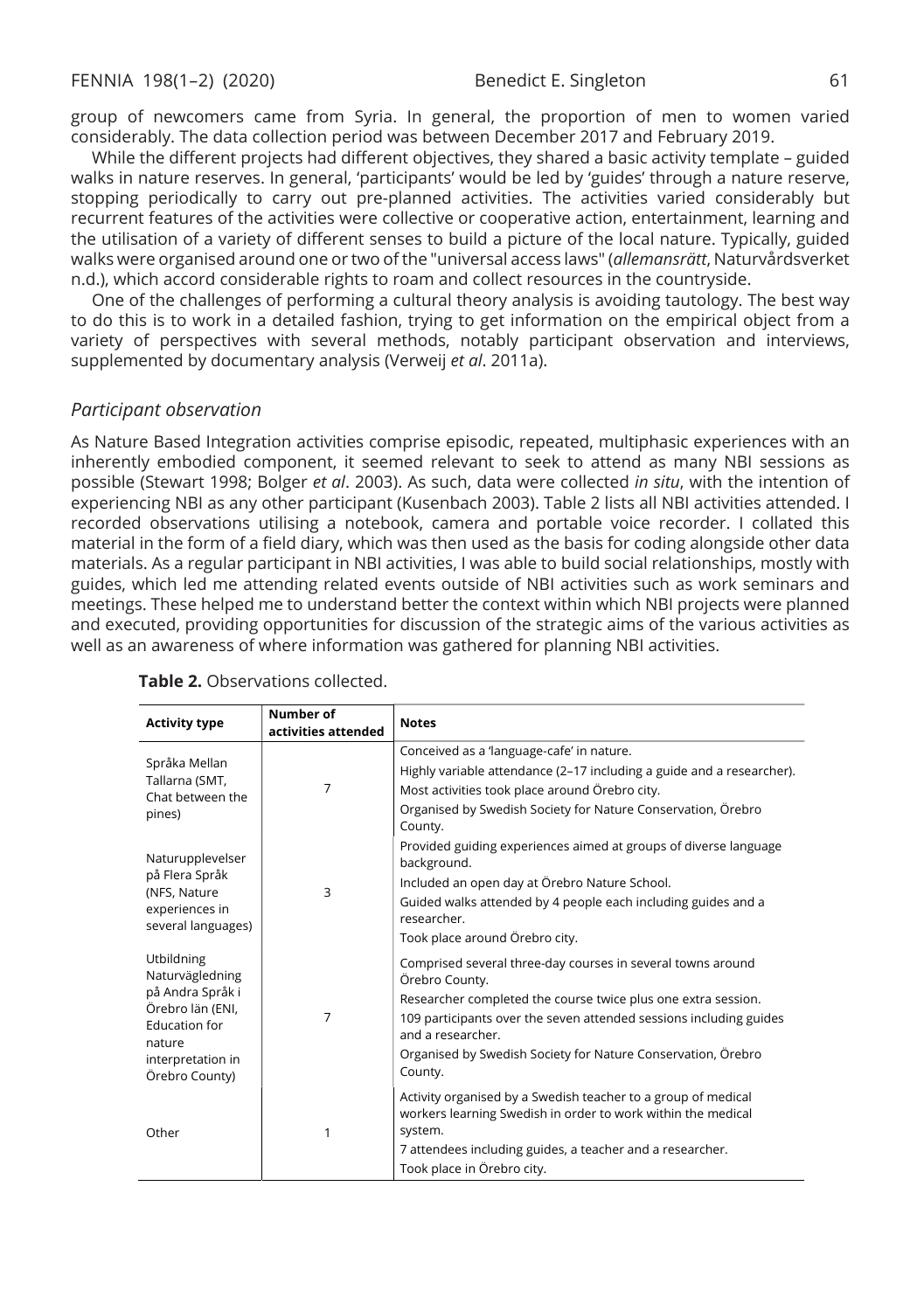group of newcomers came from Syria. In general, the proportion of men to women varied considerably. The data collection period was between December 2017 and February 2019.

While the different projects had different objectives, they shared a basic activity template – guided walks in nature reserves. In general, 'participants' would be led by 'guides' through a nature reserve, stopping periodically to carry out pre-planned activities. The activities varied considerably but recurrent features of the activities were collective or cooperative action, entertainment, learning and the utilisation of a variety of different senses to build a picture of the local nature. Typically, guided walks were organised around one or two of the "universal access laws" (*allemansrätt*, Naturvårdsverket n.d.), which accord considerable rights to roam and collect resources in the countryside.

One of the challenges of performing a cultural theory analysis is avoiding tautology. The best way to do this is to work in a detailed fashion, trying to get information on the empirical object from a variety of perspectives with several methods, notably participant observation and interviews, supplemented by documentary analysis (Verweij *et al*. 2011a).

#### *Participant observation*

As Nature Based Integration activities comprise episodic, repeated, multiphasic experiences with an inherently embodied component, it seemed relevant to seek to attend as many NBI sessions as possible (Stewart 1998; Bolger *et al*. 2003). As such, data were collected *in situ*, with the intention of experiencing NBI as any other participant (Kusenbach 2003). Table 2 lists all NBI activities attended. I recorded observations utilising a notebook, camera and portable voice recorder. I collated this material in the form of a field diary, which was then used as the basis for coding alongside other data materials. As a regular participant in NBI activities, I was able to build social relationships, mostly with guides, which led me attending related events outside of NBI activities such as work seminars and meetings. These helped me to understand better the context within which NBI projects were planned and executed, providing opportunities for discussion of the strategic aims of the various activities as well as an awareness of where information was gathered for planning NBI activities.

| Highly variable attendance (2–17 including a guide and a researcher).                                                         |
|-------------------------------------------------------------------------------------------------------------------------------|
|                                                                                                                               |
| Organised by Swedish Society for Nature Conservation, Örebro                                                                  |
| Provided guiding experiences aimed at groups of diverse language                                                              |
|                                                                                                                               |
| Guided walks attended by 4 people each including guides and a                                                                 |
|                                                                                                                               |
| Comprised several three-day courses in several towns around                                                                   |
| Researcher completed the course twice plus one extra session.                                                                 |
| 109 participants over the seven attended sessions including guides                                                            |
| Organised by Swedish Society for Nature Conservation, Örebro                                                                  |
| Activity organised by a Swedish teacher to a group of medical<br>workers learning Swedish in order to work within the medical |
|                                                                                                                               |
|                                                                                                                               |
|                                                                                                                               |

#### **Table 2.** Observations collected.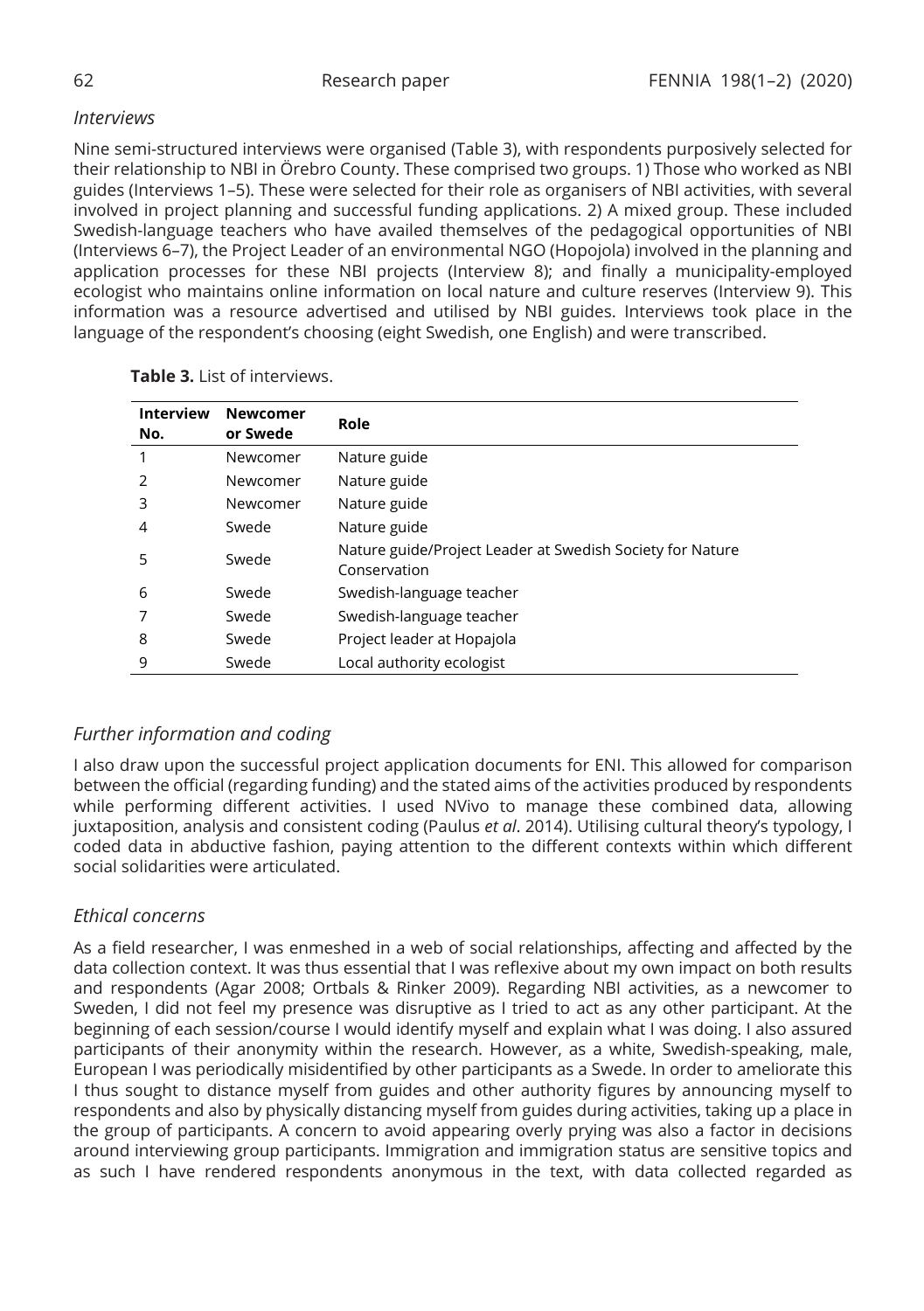## *Interviews*

Nine semi-structured interviews were organised (Table 3), with respondents purposively selected for their relationship to NBI in Örebro County. These comprised two groups. 1) Those who worked as NBI guides (Interviews 1–5). These were selected for their role as organisers of NBI activities, with several involved in project planning and successful funding applications. 2) A mixed group. These included Swedish-language teachers who have availed themselves of the pedagogical opportunities of NBI (Interviews 6–7), the Project Leader of an environmental NGO (Hopojola) involved in the planning and application processes for these NBI projects (Interview 8); and finally a municipality-employed ecologist who maintains online information on local nature and culture reserves (Interview 9). This information was a resource advertised and utilised by NBI guides. Interviews took place in the language of the respondent's choosing (eight Swedish, one English) and were transcribed.

| <b>Interview</b><br>No. | Newcomer<br>or Swede | Role                                                                      |
|-------------------------|----------------------|---------------------------------------------------------------------------|
|                         | Newcomer             | Nature guide                                                              |
| $\mathcal{L}$           | Newcomer             | Nature guide                                                              |
| 3                       | Newcomer             | Nature guide                                                              |
| 4                       | Swede                | Nature guide                                                              |
| 5                       | Swede                | Nature guide/Project Leader at Swedish Society for Nature<br>Conservation |
| 6                       | Swede                | Swedish-language teacher                                                  |
|                         | Swede                | Swedish-language teacher                                                  |
| 8                       | Swede                | Project leader at Hopajola                                                |
| 9                       | Swede                | Local authority ecologist                                                 |

**Table 3.** List of interviews.

## *Further information and coding*

I also draw upon the successful project application documents for ENI. This allowed for comparison between the official (regarding funding) and the stated aims of the activities produced by respondents while performing different activities. I used NVivo to manage these combined data, allowing juxtaposition, analysis and consistent coding (Paulus *et al*. 2014). Utilising cultural theory's typology, I coded data in abductive fashion, paying attention to the different contexts within which different social solidarities were articulated.

## *Ethical concerns*

As a field researcher, I was enmeshed in a web of social relationships, affecting and affected by the data collection context. It was thus essential that I was reflexive about my own impact on both results and respondents (Agar 2008; Ortbals & Rinker 2009). Regarding NBI activities, as a newcomer to Sweden, I did not feel my presence was disruptive as I tried to act as any other participant. At the beginning of each session/course I would identify myself and explain what I was doing. I also assured participants of their anonymity within the research. However, as a white, Swedish-speaking, male, European I was periodically misidentified by other participants as a Swede. In order to ameliorate this I thus sought to distance myself from guides and other authority figures by announcing myself to respondents and also by physically distancing myself from guides during activities, taking up a place in the group of participants. A concern to avoid appearing overly prying was also a factor in decisions around interviewing group participants. Immigration and immigration status are sensitive topics and as such I have rendered respondents anonymous in the text, with data collected regarded as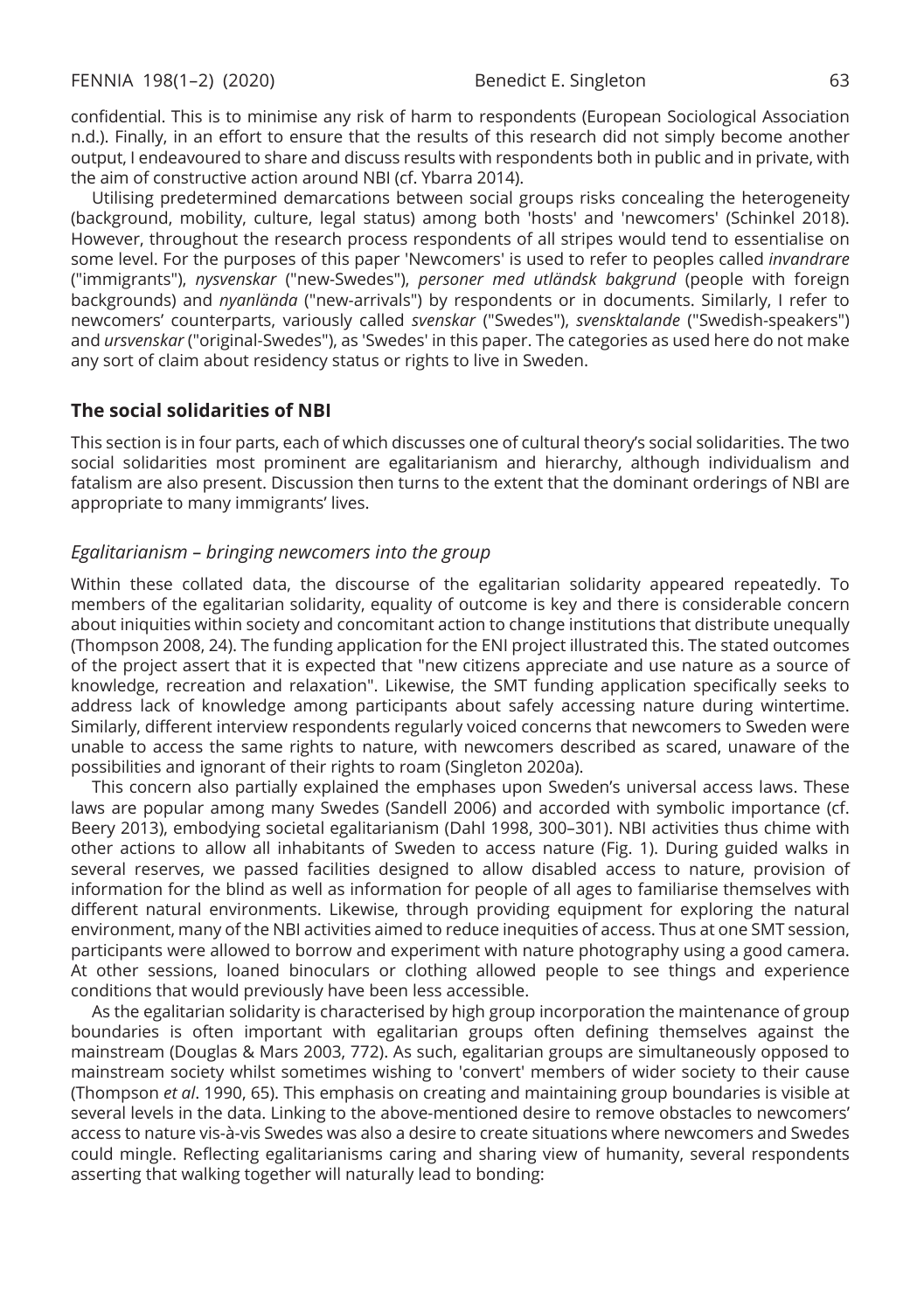confidential. This is to minimise any risk of harm to respondents (European Sociological Association n.d.). Finally, in an effort to ensure that the results of this research did not simply become another output, I endeavoured to share and discuss results with respondents both in public and in private, with the aim of constructive action around NBI (cf. Ybarra 2014).

Utilising predetermined demarcations between social groups risks concealing the heterogeneity (background, mobility, culture, legal status) among both 'hosts' and 'newcomers' (Schinkel 2018). However, throughout the research process respondents of all stripes would tend to essentialise on some level. For the purposes of this paper 'Newcomers' is used to refer to peoples called *invandrare* ("immigrants"), *nysvenskar* ("new-Swedes"), *personer med utländsk bakgrund* (people with foreign backgrounds) and *nyanlända* ("new-arrivals") by respondents or in documents. Similarly, I refer to newcomers' counterparts, variously called *svenskar* ("Swedes"), *svensktalande* ("Swedish-speakers") and *ursvenskar* ("original-Swedes"), as 'Swedes' in this paper. The categories as used here do not make any sort of claim about residency status or rights to live in Sweden.

### **The social solidarities of NBI**

This section is in four parts, each of which discusses one of cultural theory's social solidarities. The two social solidarities most prominent are egalitarianism and hierarchy, although individualism and fatalism are also present. Discussion then turns to the extent that the dominant orderings of NBI are appropriate to many immigrants' lives.

#### *Egalitarianism – bringing newcomers into the group*

Within these collated data, the discourse of the egalitarian solidarity appeared repeatedly. To members of the egalitarian solidarity, equality of outcome is key and there is considerable concern about iniquities within society and concomitant action to change institutions that distribute unequally (Thompson 2008, 24). The funding application for the ENI project illustrated this. The stated outcomes of the project assert that it is expected that "new citizens appreciate and use nature as a source of knowledge, recreation and relaxation". Likewise, the SMT funding application specifically seeks to address lack of knowledge among participants about safely accessing nature during wintertime. Similarly, different interview respondents regularly voiced concerns that newcomers to Sweden were unable to access the same rights to nature, with newcomers described as scared, unaware of the possibilities and ignorant of their rights to roam (Singleton 2020a).

This concern also partially explained the emphases upon Sweden's universal access laws. These laws are popular among many Swedes (Sandell 2006) and accorded with symbolic importance (cf. Beery 2013), embodying societal egalitarianism (Dahl 1998, 300–301). NBI activities thus chime with other actions to allow all inhabitants of Sweden to access nature (Fig. 1). During guided walks in several reserves, we passed facilities designed to allow disabled access to nature, provision of information for the blind as well as information for people of all ages to familiarise themselves with different natural environments. Likewise, through providing equipment for exploring the natural environment, many of the NBI activities aimed to reduce inequities of access. Thus at one SMT session, participants were allowed to borrow and experiment with nature photography using a good camera. At other sessions, loaned binoculars or clothing allowed people to see things and experience conditions that would previously have been less accessible.

As the egalitarian solidarity is characterised by high group incorporation the maintenance of group boundaries is often important with egalitarian groups often defining themselves against the mainstream (Douglas & Mars 2003, 772). As such, egalitarian groups are simultaneously opposed to mainstream society whilst sometimes wishing to 'convert' members of wider society to their cause (Thompson *et al*. 1990, 65). This emphasis on creating and maintaining group boundaries is visible at several levels in the data. Linking to the above-mentioned desire to remove obstacles to newcomers' access to nature vis-à-vis Swedes was also a desire to create situations where newcomers and Swedes could mingle. Reflecting egalitarianisms caring and sharing view of humanity, several respondents asserting that walking together will naturally lead to bonding: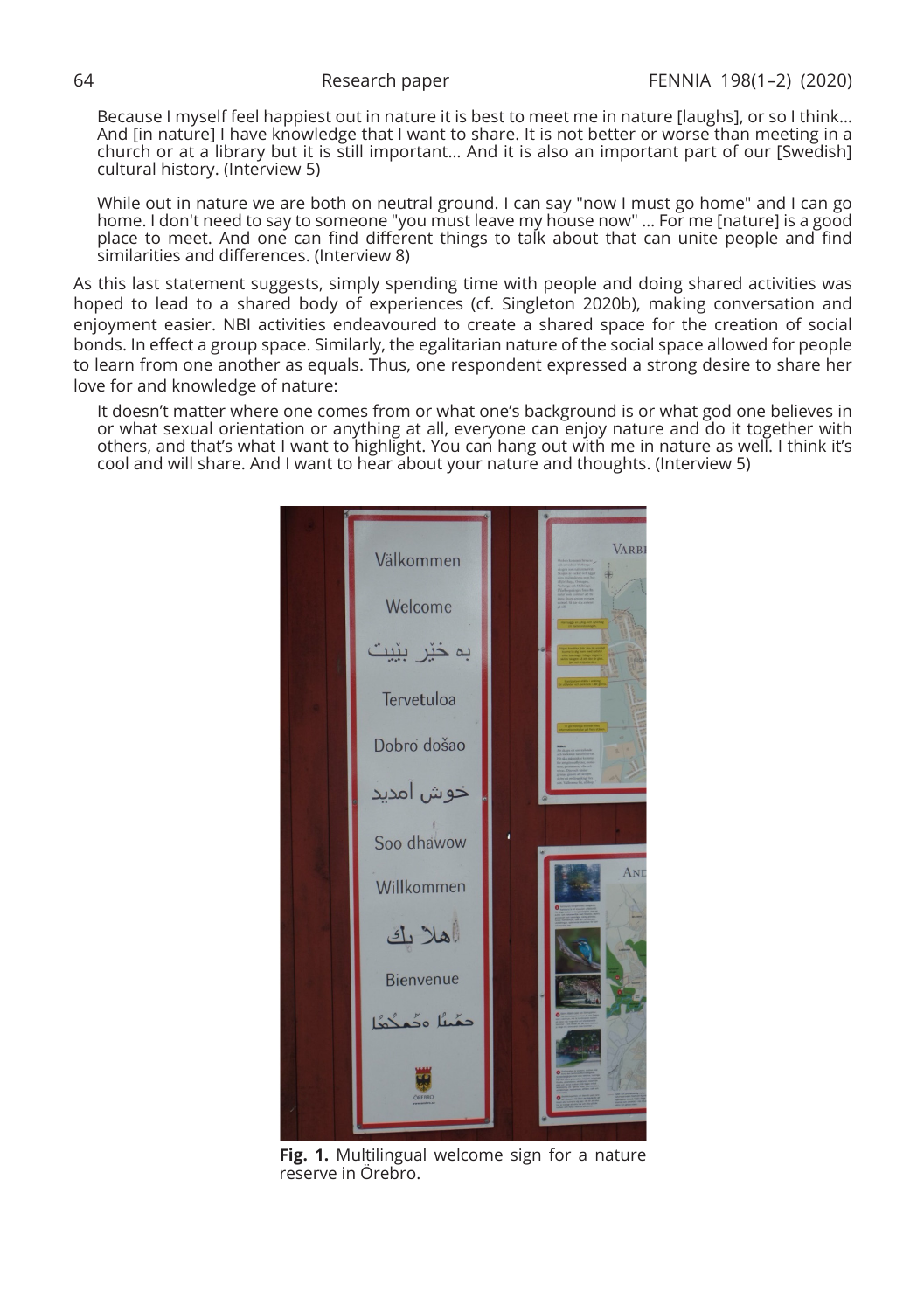Because I myself feel happiest out in nature it is best to meet me in nature [laughs], or so I think… And [in nature] I have knowledge that I want to share. It is not better or worse than meeting in a church or at a library but it is still important… And it is also an important part of our [Swedish] cultural history. (Interview 5)

While out in nature we are both on neutral ground. I can say "now I must go home" and I can go home. I don't need to say to someone "you must leave my house now" … For me [nature] is a good place to meet. And one can find different things to talk about that can unite people and find similarities and differences. (Interview 8)

As this last statement suggests, simply spending time with people and doing shared activities was hoped to lead to a shared body of experiences (cf. Singleton 2020b), making conversation and enjoyment easier. NBI activities endeavoured to create a shared space for the creation of social bonds. In effect a group space. Similarly, the egalitarian nature of the social space allowed for people to learn from one another as equals. Thus, one respondent expressed a strong desire to share her love for and knowledge of nature:

It doesn't matter where one comes from or what one's background is or what god one believes in or what sexual orientation or anything at all, everyone can enjoy nature and do it together with others, and that's what I want to highlight. You can hang out with me in nature as well. I think it's cool and will share. And I want to hear about your nature and thoughts. (Interview 5)

VARB Välkommen Welcome به خبر Tervetuloa Dobro došao خوش امدىد Soo dhawow Willkommen هلا ك **Bienvenue** جمُينَا ودُ

**Fig. 1.** Multilingual welcome sign for a nature reserve in Örebro.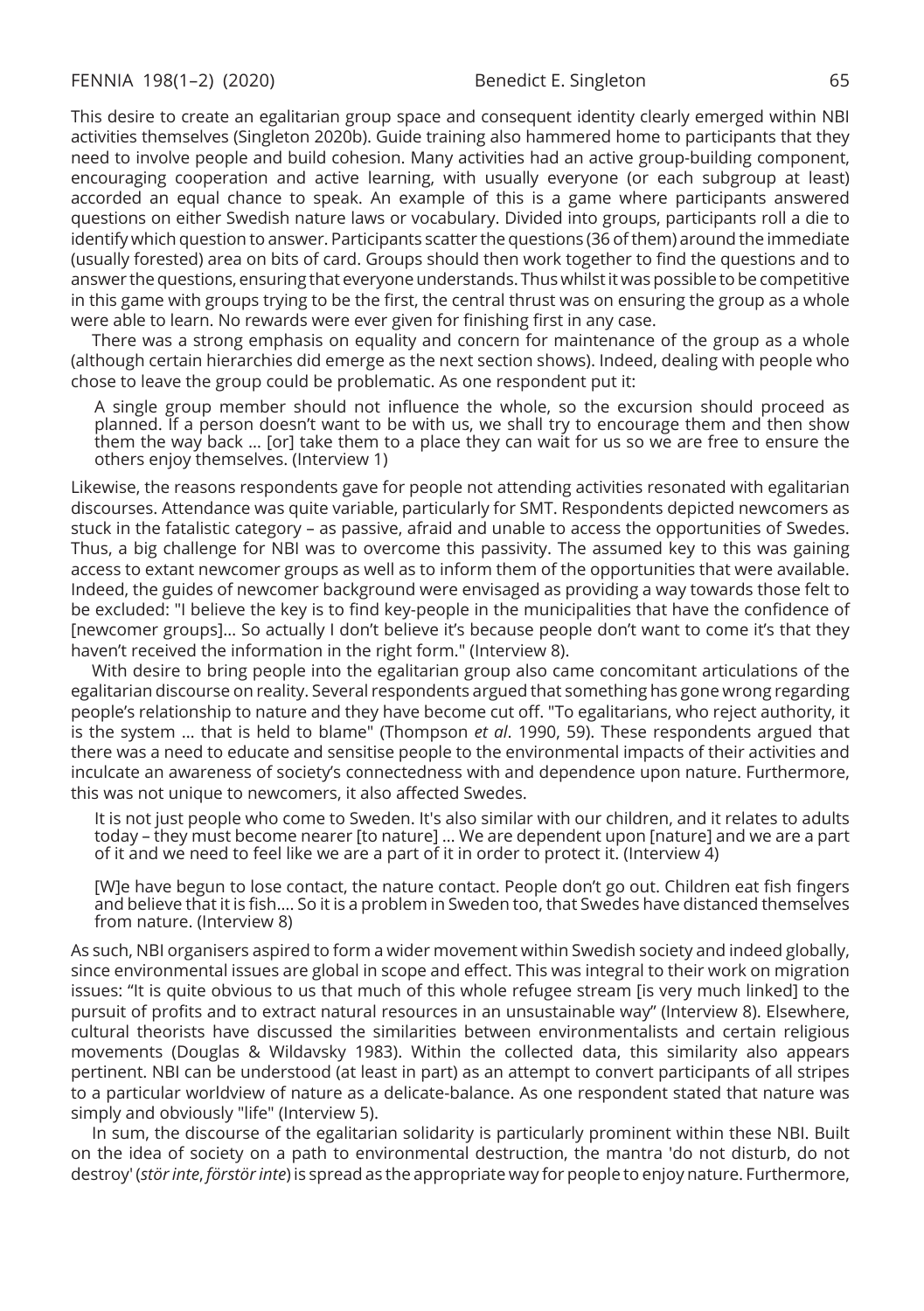This desire to create an egalitarian group space and consequent identity clearly emerged within NBI activities themselves (Singleton 2020b). Guide training also hammered home to participants that they need to involve people and build cohesion. Many activities had an active group-building component, encouraging cooperation and active learning, with usually everyone (or each subgroup at least) accorded an equal chance to speak. An example of this is a game where participants answered questions on either Swedish nature laws or vocabulary. Divided into groups, participants roll a die to identify which question to answer. Participants scatter the questions (36 of them) around the immediate (usually forested) area on bits of card. Groups should then work together to find the questions and to answer the questions, ensuring that everyone understands. Thus whilst it was possible to be competitive in this game with groups trying to be the first, the central thrust was on ensuring the group as a whole were able to learn. No rewards were ever given for finishing first in any case.

There was a strong emphasis on equality and concern for maintenance of the group as a whole (although certain hierarchies did emerge as the next section shows). Indeed, dealing with people who chose to leave the group could be problematic. As one respondent put it:

A single group member should not influence the whole, so the excursion should proceed as planned. If a person doesn't want to be with us, we shall try to encourage them and then show them the way back … [or] take them to a place they can wait for us so we are free to ensure the others enjoy themselves. (Interview 1)

Likewise, the reasons respondents gave for people not attending activities resonated with egalitarian discourses. Attendance was quite variable, particularly for SMT. Respondents depicted newcomers as stuck in the fatalistic category – as passive, afraid and unable to access the opportunities of Swedes. Thus, a big challenge for NBI was to overcome this passivity. The assumed key to this was gaining access to extant newcomer groups as well as to inform them of the opportunities that were available. Indeed, the guides of newcomer background were envisaged as providing a way towards those felt to be excluded: "I believe the key is to find key-people in the municipalities that have the confidence of [newcomer groups]… So actually I don't believe it's because people don't want to come it's that they haven't received the information in the right form." (Interview 8).

With desire to bring people into the egalitarian group also came concomitant articulations of the egalitarian discourse on reality. Several respondents argued that something has gone wrong regarding people's relationship to nature and they have become cut off. "To egalitarians, who reject authority, it is the system … that is held to blame" (Thompson *et al*. 1990, 59). These respondents argued that there was a need to educate and sensitise people to the environmental impacts of their activities and inculcate an awareness of society's connectedness with and dependence upon nature. Furthermore, this was not unique to newcomers, it also affected Swedes.

It is not just people who come to Sweden. It's also similar with our children, and it relates to adults today – they must become nearer [to nature] … We are dependent upon [nature] and we are a part of it and we need to feel like we are a part of it in order to protect it. (Interview 4)

[W]e have begun to lose contact, the nature contact. People don't go out. Children eat fish fingers and believe that it is fish…. So it is a problem in Sweden too, that Swedes have distanced themselves from nature. (Interview 8)

As such, NBI organisers aspired to form a wider movement within Swedish society and indeed globally, since environmental issues are global in scope and effect. This was integral to their work on migration issues: "It is quite obvious to us that much of this whole refugee stream [is very much linked] to the pursuit of profits and to extract natural resources in an unsustainable way" (Interview 8). Elsewhere, cultural theorists have discussed the similarities between environmentalists and certain religious movements (Douglas & Wildavsky 1983). Within the collected data, this similarity also appears pertinent. NBI can be understood (at least in part) as an attempt to convert participants of all stripes to a particular worldview of nature as a delicate-balance. As one respondent stated that nature was simply and obviously "life" (Interview 5).

In sum, the discourse of the egalitarian solidarity is particularly prominent within these NBI. Built on the idea of society on a path to environmental destruction, the mantra 'do not disturb, do not destroy' (*stör inte*, *förstör inte*) is spread as the appropriate way for people to enjoy nature. Furthermore,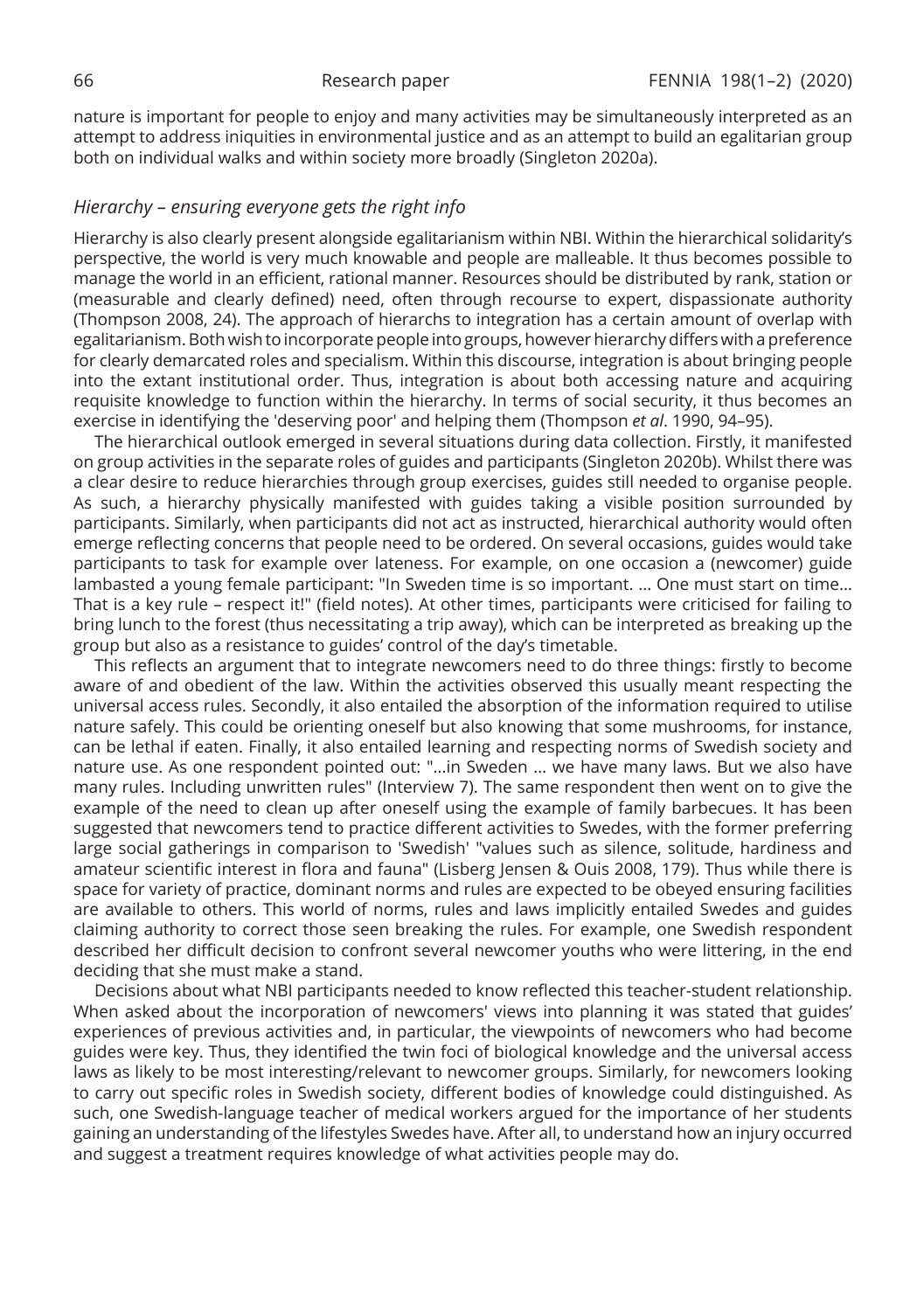nature is important for people to enjoy and many activities may be simultaneously interpreted as an attempt to address iniquities in environmental justice and as an attempt to build an egalitarian group both on individual walks and within society more broadly (Singleton 2020a).

#### *Hierarchy – ensuring everyone gets the right info*

Hierarchy is also clearly present alongside egalitarianism within NBI. Within the hierarchical solidarity's perspective, the world is very much knowable and people are malleable. It thus becomes possible to manage the world in an efficient, rational manner. Resources should be distributed by rank, station or (measurable and clearly defined) need, often through recourse to expert, dispassionate authority (Thompson 2008, 24). The approach of hierarchs to integration has a certain amount of overlap with egalitarianism. Both wish to incorporate people into groups, however hierarchy differs with a preference for clearly demarcated roles and specialism. Within this discourse, integration is about bringing people into the extant institutional order. Thus, integration is about both accessing nature and acquiring requisite knowledge to function within the hierarchy. In terms of social security, it thus becomes an exercise in identifying the 'deserving poor' and helping them (Thompson *et al*. 1990, 94–95).

The hierarchical outlook emerged in several situations during data collection. Firstly, it manifested on group activities in the separate roles of guides and participants (Singleton 2020b). Whilst there was a clear desire to reduce hierarchies through group exercises, guides still needed to organise people. As such, a hierarchy physically manifested with guides taking a visible position surrounded by participants. Similarly, when participants did not act as instructed, hierarchical authority would often emerge reflecting concerns that people need to be ordered. On several occasions, guides would take participants to task for example over lateness. For example, on one occasion a (newcomer) guide lambasted a young female participant: "In Sweden time is so important. ... One must start on time… That is a key rule – respect it!" (field notes). At other times, participants were criticised for failing to bring lunch to the forest (thus necessitating a trip away), which can be interpreted as breaking up the group but also as a resistance to guides' control of the day's timetable.

This reflects an argument that to integrate newcomers need to do three things: firstly to become aware of and obedient of the law. Within the activities observed this usually meant respecting the universal access rules. Secondly, it also entailed the absorption of the information required to utilise nature safely. This could be orienting oneself but also knowing that some mushrooms, for instance, can be lethal if eaten. Finally, it also entailed learning and respecting norms of Swedish society and nature use. As one respondent pointed out: "…in Sweden … we have many laws. But we also have many rules. Including unwritten rules" (Interview 7). The same respondent then went on to give the example of the need to clean up after oneself using the example of family barbecues. It has been suggested that newcomers tend to practice different activities to Swedes, with the former preferring large social gatherings in comparison to 'Swedish' "values such as silence, solitude, hardiness and amateur scientific interest in flora and fauna" (Lisberg Jensen & Ouis 2008, 179). Thus while there is space for variety of practice, dominant norms and rules are expected to be obeyed ensuring facilities are available to others. This world of norms, rules and laws implicitly entailed Swedes and guides claiming authority to correct those seen breaking the rules. For example, one Swedish respondent described her difficult decision to confront several newcomer youths who were littering, in the end deciding that she must make a stand.

Decisions about what NBI participants needed to know reflected this teacher-student relationship. When asked about the incorporation of newcomers' views into planning it was stated that guides' experiences of previous activities and, in particular, the viewpoints of newcomers who had become guides were key. Thus, they identified the twin foci of biological knowledge and the universal access laws as likely to be most interesting/relevant to newcomer groups. Similarly, for newcomers looking to carry out specific roles in Swedish society, different bodies of knowledge could distinguished. As such, one Swedish-language teacher of medical workers argued for the importance of her students gaining an understanding of the lifestyles Swedes have. After all, to understand how an injury occurred and suggest a treatment requires knowledge of what activities people may do.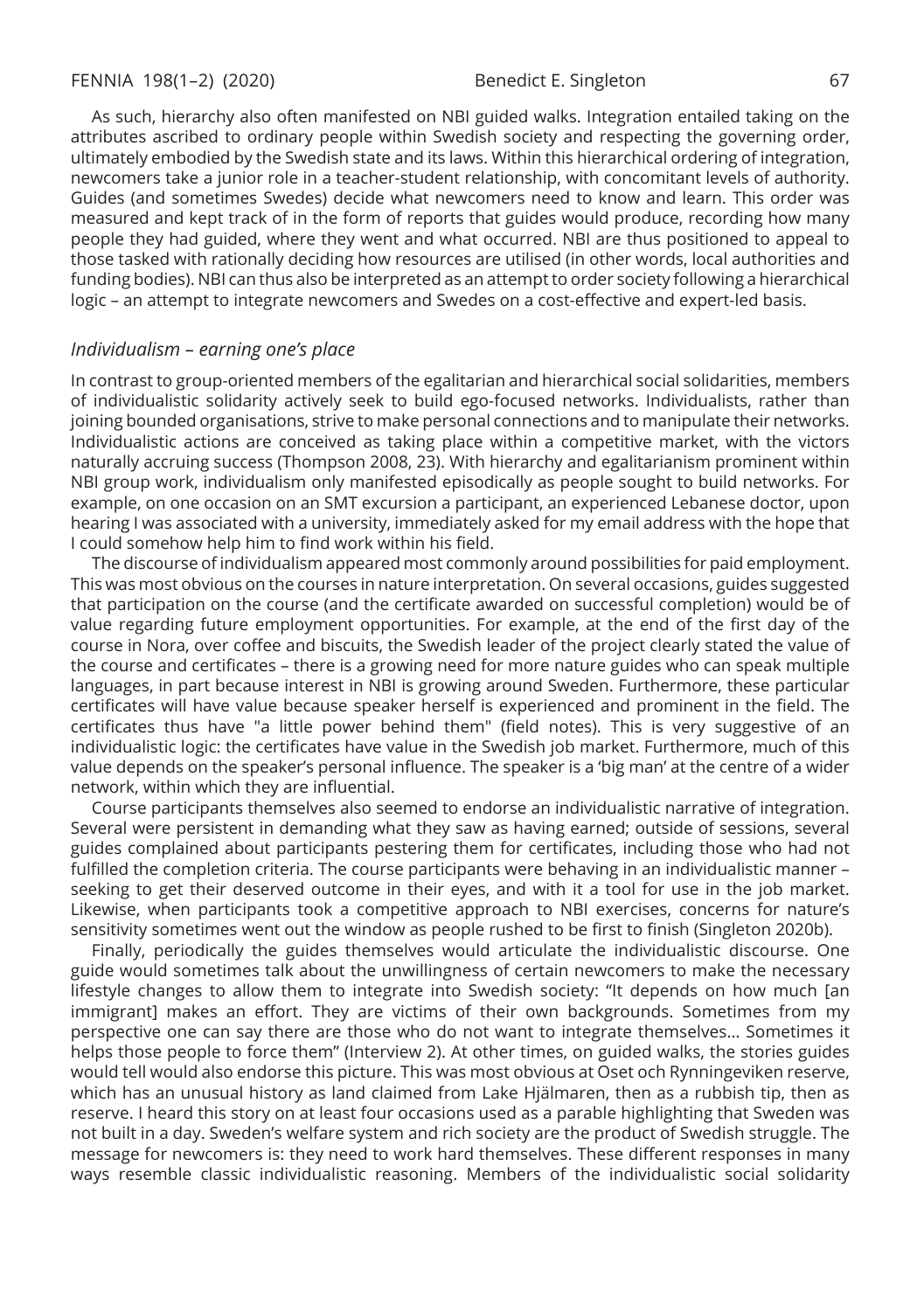As such, hierarchy also often manifested on NBI guided walks. Integration entailed taking on the attributes ascribed to ordinary people within Swedish society and respecting the governing order, ultimately embodied by the Swedish state and its laws. Within this hierarchical ordering of integration, newcomers take a junior role in a teacher-student relationship, with concomitant levels of authority. Guides (and sometimes Swedes) decide what newcomers need to know and learn. This order was measured and kept track of in the form of reports that guides would produce, recording how many people they had guided, where they went and what occurred. NBI are thus positioned to appeal to those tasked with rationally deciding how resources are utilised (in other words, local authorities and funding bodies). NBI can thus also be interpreted as an attempt to order society following a hierarchical logic – an attempt to integrate newcomers and Swedes on a cost-effective and expert-led basis.

#### *Individualism – earning one's place*

In contrast to group-oriented members of the egalitarian and hierarchical social solidarities, members of individualistic solidarity actively seek to build ego-focused networks. Individualists, rather than joining bounded organisations, strive to make personal connections and to manipulate their networks. Individualistic actions are conceived as taking place within a competitive market, with the victors naturally accruing success (Thompson 2008, 23). With hierarchy and egalitarianism prominent within NBI group work, individualism only manifested episodically as people sought to build networks. For example, on one occasion on an SMT excursion a participant, an experienced Lebanese doctor, upon hearing I was associated with a university, immediately asked for my email address with the hope that I could somehow help him to find work within his field.

The discourse of individualism appeared most commonly around possibilities for paid employment. This was most obvious on the courses in nature interpretation. On several occasions, guides suggested that participation on the course (and the certificate awarded on successful completion) would be of value regarding future employment opportunities. For example, at the end of the first day of the course in Nora, over coffee and biscuits, the Swedish leader of the project clearly stated the value of the course and certificates – there is a growing need for more nature guides who can speak multiple languages, in part because interest in NBI is growing around Sweden. Furthermore, these particular certificates will have value because speaker herself is experienced and prominent in the field. The certificates thus have "a little power behind them" (field notes). This is very suggestive of an individualistic logic: the certificates have value in the Swedish job market. Furthermore, much of this value depends on the speaker's personal influence. The speaker is a 'big man' at the centre of a wider network, within which they are influential.

Course participants themselves also seemed to endorse an individualistic narrative of integration. Several were persistent in demanding what they saw as having earned; outside of sessions, several guides complained about participants pestering them for certificates, including those who had not fulfilled the completion criteria. The course participants were behaving in an individualistic manner – seeking to get their deserved outcome in their eyes, and with it a tool for use in the job market. Likewise, when participants took a competitive approach to NBI exercises, concerns for nature's sensitivity sometimes went out the window as people rushed to be first to finish (Singleton 2020b).

Finally, periodically the guides themselves would articulate the individualistic discourse. One guide would sometimes talk about the unwillingness of certain newcomers to make the necessary lifestyle changes to allow them to integrate into Swedish society: "It depends on how much [an immigrant] makes an effort. They are victims of their own backgrounds. Sometimes from my perspective one can say there are those who do not want to integrate themselves… Sometimes it helps those people to force them" (Interview 2). At other times, on guided walks, the stories guides would tell would also endorse this picture. This was most obvious at Oset och Rynningeviken reserve, which has an unusual history as land claimed from Lake Hjälmaren, then as a rubbish tip, then as reserve. I heard this story on at least four occasions used as a parable highlighting that Sweden was not built in a day. Sweden's welfare system and rich society are the product of Swedish struggle. The message for newcomers is: they need to work hard themselves. These different responses in many ways resemble classic individualistic reasoning. Members of the individualistic social solidarity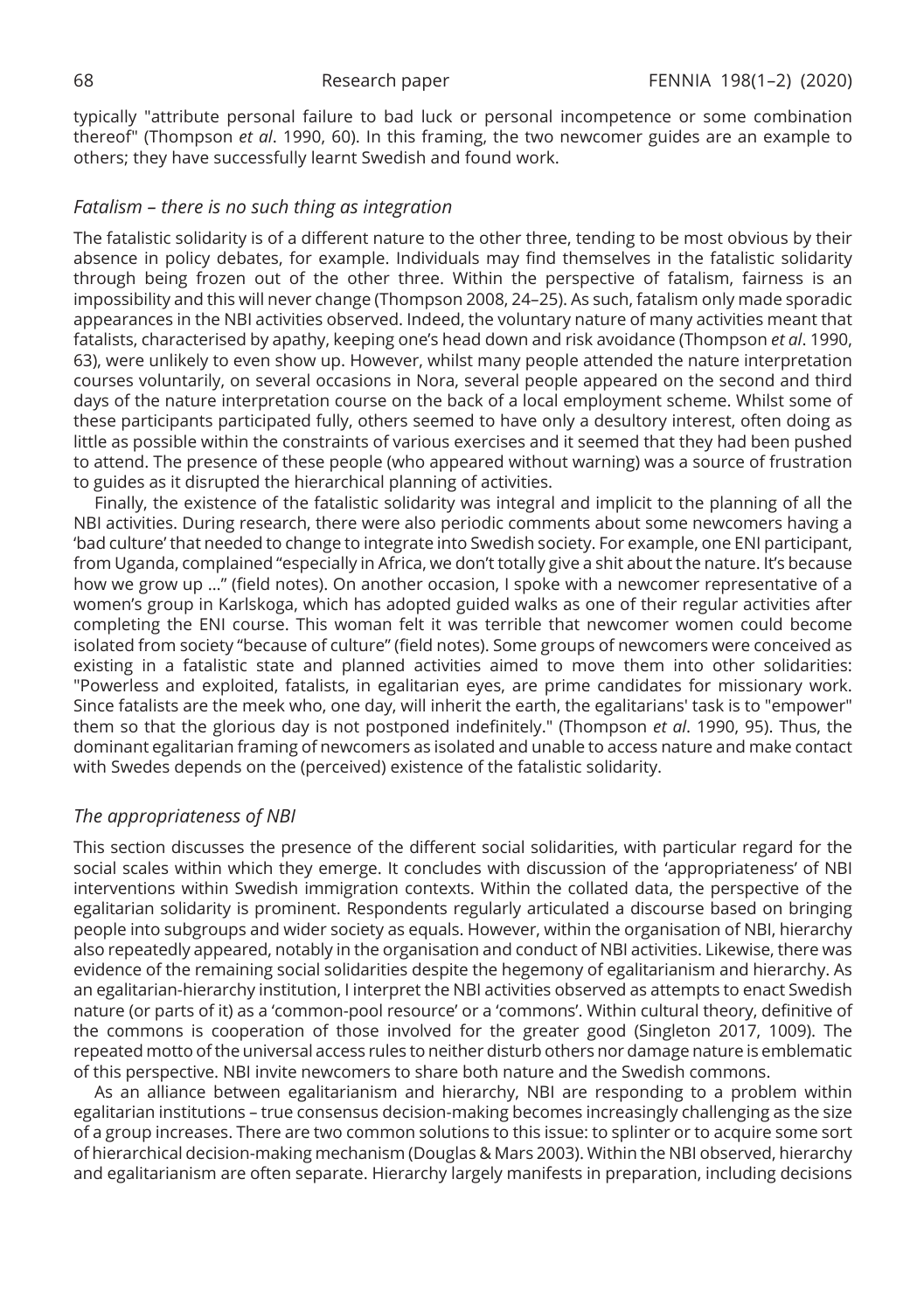typically "attribute personal failure to bad luck or personal incompetence or some combination thereof" (Thompson *et al*. 1990, 60). In this framing, the two newcomer guides are an example to others; they have successfully learnt Swedish and found work.

#### *Fatalism – there is no such thing as integration*

The fatalistic solidarity is of a different nature to the other three, tending to be most obvious by their absence in policy debates, for example. Individuals may find themselves in the fatalistic solidarity through being frozen out of the other three. Within the perspective of fatalism, fairness is an impossibility and this will never change (Thompson 2008, 24–25). As such, fatalism only made sporadic appearances in the NBI activities observed. Indeed, the voluntary nature of many activities meant that fatalists, characterised by apathy, keeping one's head down and risk avoidance (Thompson *et al*. 1990, 63), were unlikely to even show up. However, whilst many people attended the nature interpretation courses voluntarily, on several occasions in Nora, several people appeared on the second and third days of the nature interpretation course on the back of a local employment scheme. Whilst some of these participants participated fully, others seemed to have only a desultory interest, often doing as little as possible within the constraints of various exercises and it seemed that they had been pushed to attend. The presence of these people (who appeared without warning) was a source of frustration to guides as it disrupted the hierarchical planning of activities.

Finally, the existence of the fatalistic solidarity was integral and implicit to the planning of all the NBI activities. During research, there were also periodic comments about some newcomers having a 'bad culture' that needed to change to integrate into Swedish society. For example, one ENI participant, from Uganda, complained "especially in Africa, we don't totally give a shit about the nature. It's because how we grow up …" (field notes). On another occasion, I spoke with a newcomer representative of a women's group in Karlskoga, which has adopted guided walks as one of their regular activities after completing the ENI course. This woman felt it was terrible that newcomer women could become isolated from society "because of culture" (field notes). Some groups of newcomers were conceived as existing in a fatalistic state and planned activities aimed to move them into other solidarities: "Powerless and exploited, fatalists, in egalitarian eyes, are prime candidates for missionary work. Since fatalists are the meek who, one day, will inherit the earth, the egalitarians' task is to "empower" them so that the glorious day is not postponed indefinitely." (Thompson *et al*. 1990, 95). Thus, the dominant egalitarian framing of newcomers as isolated and unable to access nature and make contact with Swedes depends on the (perceived) existence of the fatalistic solidarity.

## *The appropriateness of NBI*

This section discusses the presence of the different social solidarities, with particular regard for the social scales within which they emerge. It concludes with discussion of the 'appropriateness' of NBI interventions within Swedish immigration contexts. Within the collated data, the perspective of the egalitarian solidarity is prominent. Respondents regularly articulated a discourse based on bringing people into subgroups and wider society as equals. However, within the organisation of NBI, hierarchy also repeatedly appeared, notably in the organisation and conduct of NBI activities. Likewise, there was evidence of the remaining social solidarities despite the hegemony of egalitarianism and hierarchy. As an egalitarian-hierarchy institution, I interpret the NBI activities observed as attempts to enact Swedish nature (or parts of it) as a 'common-pool resource' or a 'commons'. Within cultural theory, definitive of the commons is cooperation of those involved for the greater good (Singleton 2017, 1009). The repeated motto of the universal access rules to neither disturb others nor damage nature is emblematic of this perspective. NBI invite newcomers to share both nature and the Swedish commons.

As an alliance between egalitarianism and hierarchy, NBI are responding to a problem within egalitarian institutions – true consensus decision-making becomes increasingly challenging as the size of a group increases. There are two common solutions to this issue: to splinter or to acquire some sort of hierarchical decision-making mechanism (Douglas & Mars 2003). Within the NBI observed, hierarchy and egalitarianism are often separate. Hierarchy largely manifests in preparation, including decisions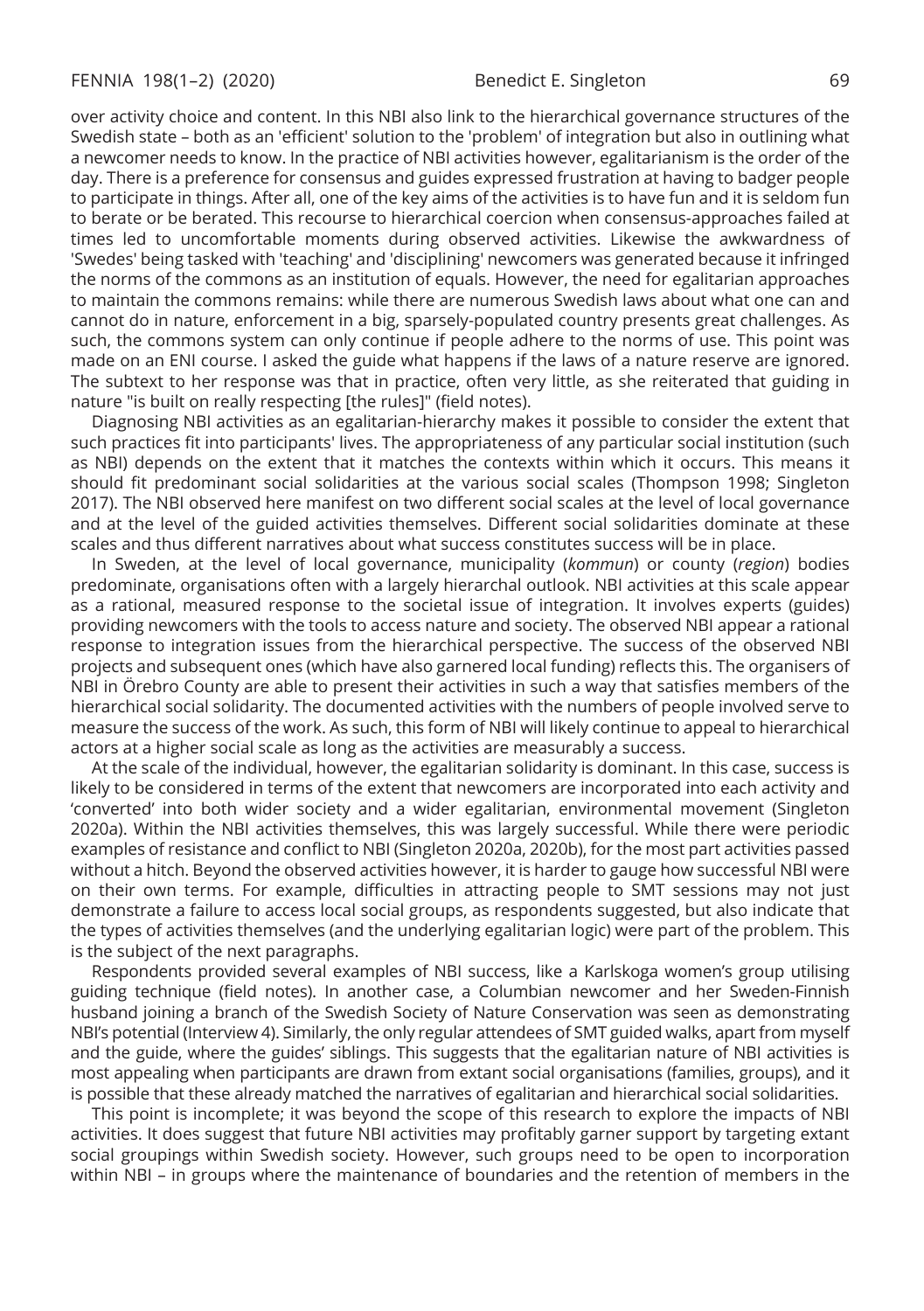over activity choice and content. In this NBI also link to the hierarchical governance structures of the Swedish state – both as an 'efficient' solution to the 'problem' of integration but also in outlining what a newcomer needs to know. In the practice of NBI activities however, egalitarianism is the order of the day. There is a preference for consensus and guides expressed frustration at having to badger people to participate in things. After all, one of the key aims of the activities is to have fun and it is seldom fun to berate or be berated. This recourse to hierarchical coercion when consensus-approaches failed at times led to uncomfortable moments during observed activities. Likewise the awkwardness of 'Swedes' being tasked with 'teaching' and 'disciplining' newcomers was generated because it infringed the norms of the commons as an institution of equals. However, the need for egalitarian approaches to maintain the commons remains: while there are numerous Swedish laws about what one can and cannot do in nature, enforcement in a big, sparsely-populated country presents great challenges. As such, the commons system can only continue if people adhere to the norms of use. This point was made on an ENI course. I asked the guide what happens if the laws of a nature reserve are ignored. The subtext to her response was that in practice, often very little, as she reiterated that guiding in nature "is built on really respecting [the rules]" (field notes).

Diagnosing NBI activities as an egalitarian-hierarchy makes it possible to consider the extent that such practices fit into participants' lives. The appropriateness of any particular social institution (such as NBI) depends on the extent that it matches the contexts within which it occurs. This means it should fit predominant social solidarities at the various social scales (Thompson 1998; Singleton 2017). The NBI observed here manifest on two different social scales at the level of local governance and at the level of the guided activities themselves. Different social solidarities dominate at these scales and thus different narratives about what success constitutes success will be in place.

In Sweden, at the level of local governance, municipality (*kommun*) or county (*region*) bodies predominate, organisations often with a largely hierarchal outlook. NBI activities at this scale appear as a rational, measured response to the societal issue of integration. It involves experts (guides) providing newcomers with the tools to access nature and society. The observed NBI appear a rational response to integration issues from the hierarchical perspective. The success of the observed NBI projects and subsequent ones (which have also garnered local funding) reflects this. The organisers of NBI in Örebro County are able to present their activities in such a way that satisfies members of the hierarchical social solidarity. The documented activities with the numbers of people involved serve to measure the success of the work. As such, this form of NBI will likely continue to appeal to hierarchical actors at a higher social scale as long as the activities are measurably a success.

At the scale of the individual, however, the egalitarian solidarity is dominant. In this case, success is likely to be considered in terms of the extent that newcomers are incorporated into each activity and 'converted' into both wider society and a wider egalitarian, environmental movement (Singleton 2020a). Within the NBI activities themselves, this was largely successful. While there were periodic examples of resistance and conflict to NBI (Singleton 2020a, 2020b), for the most part activities passed without a hitch. Beyond the observed activities however, it is harder to gauge how successful NBI were on their own terms. For example, difficulties in attracting people to SMT sessions may not just demonstrate a failure to access local social groups, as respondents suggested, but also indicate that the types of activities themselves (and the underlying egalitarian logic) were part of the problem. This is the subject of the next paragraphs.

Respondents provided several examples of NBI success, like a Karlskoga women's group utilising guiding technique (field notes). In another case, a Columbian newcomer and her Sweden-Finnish husband joining a branch of the Swedish Society of Nature Conservation was seen as demonstrating NBI's potential (Interview 4). Similarly, the only regular attendees of SMT guided walks, apart from myself and the guide, where the guides' siblings. This suggests that the egalitarian nature of NBI activities is most appealing when participants are drawn from extant social organisations (families, groups), and it is possible that these already matched the narratives of egalitarian and hierarchical social solidarities.

This point is incomplete; it was beyond the scope of this research to explore the impacts of NBI activities. It does suggest that future NBI activities may profitably garner support by targeting extant social groupings within Swedish society. However, such groups need to be open to incorporation within NBI – in groups where the maintenance of boundaries and the retention of members in the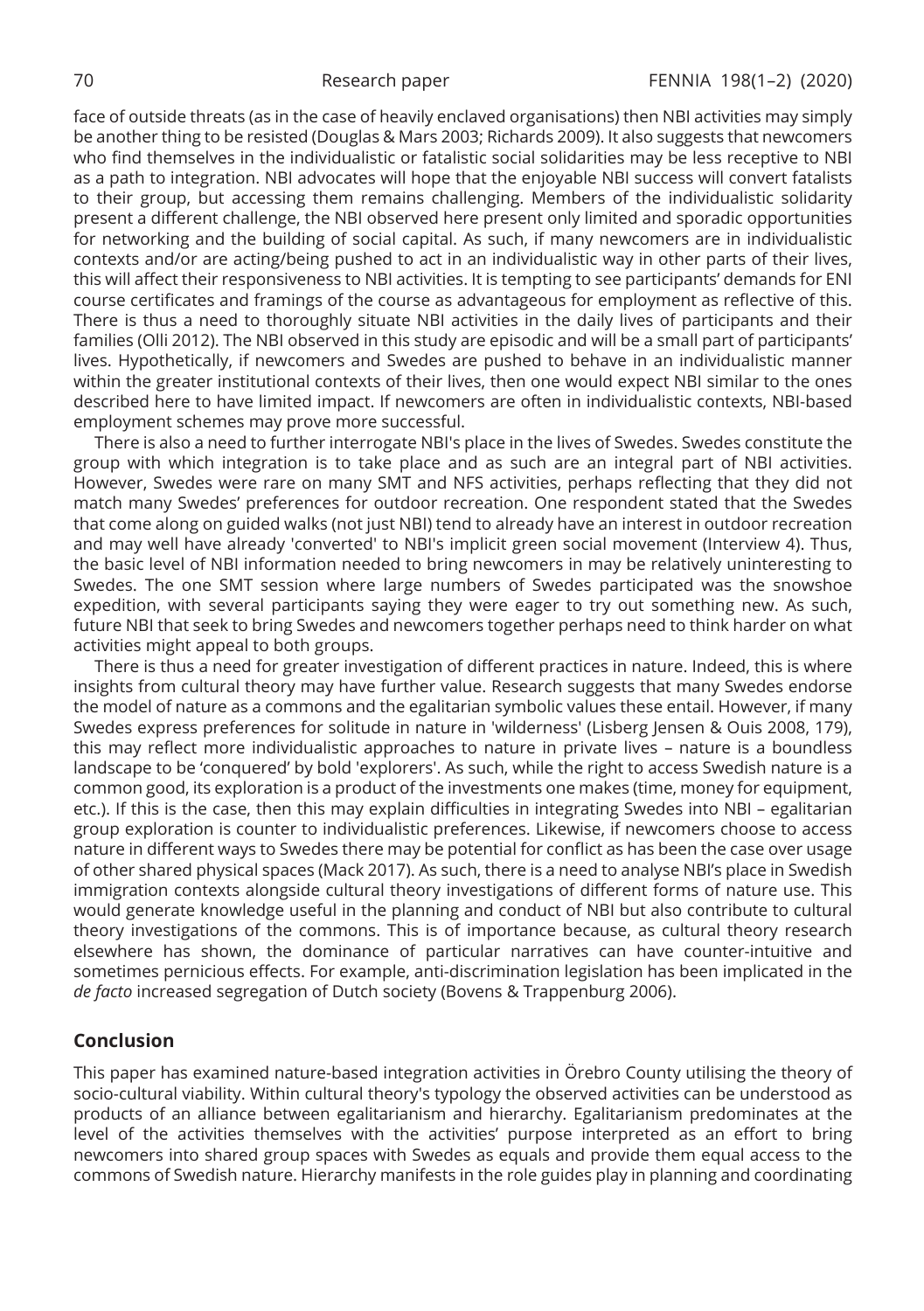face of outside threats (as in the case of heavily enclaved organisations) then NBI activities may simply be another thing to be resisted (Douglas & Mars 2003; Richards 2009). It also suggests that newcomers who find themselves in the individualistic or fatalistic social solidarities may be less receptive to NBI as a path to integration. NBI advocates will hope that the enjoyable NBI success will convert fatalists to their group, but accessing them remains challenging. Members of the individualistic solidarity present a different challenge, the NBI observed here present only limited and sporadic opportunities for networking and the building of social capital. As such, if many newcomers are in individualistic contexts and/or are acting/being pushed to act in an individualistic way in other parts of their lives, this will affect their responsiveness to NBI activities. It is tempting to see participants' demands for ENI course certificates and framings of the course as advantageous for employment as reflective of this. There is thus a need to thoroughly situate NBI activities in the daily lives of participants and their families (Olli 2012). The NBI observed in this study are episodic and will be a small part of participants' lives. Hypothetically, if newcomers and Swedes are pushed to behave in an individualistic manner within the greater institutional contexts of their lives, then one would expect NBI similar to the ones described here to have limited impact. If newcomers are often in individualistic contexts, NBI-based employment schemes may prove more successful.

There is also a need to further interrogate NBI's place in the lives of Swedes. Swedes constitute the group with which integration is to take place and as such are an integral part of NBI activities. However, Swedes were rare on many SMT and NFS activities, perhaps reflecting that they did not match many Swedes' preferences for outdoor recreation. One respondent stated that the Swedes that come along on guided walks (not just NBI) tend to already have an interest in outdoor recreation and may well have already 'converted' to NBI's implicit green social movement (Interview 4). Thus, the basic level of NBI information needed to bring newcomers in may be relatively uninteresting to Swedes. The one SMT session where large numbers of Swedes participated was the snowshoe expedition, with several participants saying they were eager to try out something new. As such, future NBI that seek to bring Swedes and newcomers together perhaps need to think harder on what activities might appeal to both groups.

There is thus a need for greater investigation of different practices in nature. Indeed, this is where insights from cultural theory may have further value. Research suggests that many Swedes endorse the model of nature as a commons and the egalitarian symbolic values these entail. However, if many Swedes express preferences for solitude in nature in 'wilderness' (Lisberg Jensen & Ouis 2008, 179), this may reflect more individualistic approaches to nature in private lives – nature is a boundless landscape to be 'conquered' by bold 'explorers'. As such, while the right to access Swedish nature is a common good, its exploration is a product of the investments one makes (time, money for equipment, etc.). If this is the case, then this may explain difficulties in integrating Swedes into NBI – egalitarian group exploration is counter to individualistic preferences. Likewise, if newcomers choose to access nature in different ways to Swedes there may be potential for conflict as has been the case over usage of other shared physical spaces (Mack 2017). As such, there is a need to analyse NBI's place in Swedish immigration contexts alongside cultural theory investigations of different forms of nature use. This would generate knowledge useful in the planning and conduct of NBI but also contribute to cultural theory investigations of the commons. This is of importance because, as cultural theory research elsewhere has shown, the dominance of particular narratives can have counter-intuitive and sometimes pernicious effects. For example, anti-discrimination legislation has been implicated in the *de facto* increased segregation of Dutch society (Bovens & Trappenburg 2006).

### **Conclusion**

This paper has examined nature-based integration activities in Örebro County utilising the theory of socio-cultural viability. Within cultural theory's typology the observed activities can be understood as products of an alliance between egalitarianism and hierarchy. Egalitarianism predominates at the level of the activities themselves with the activities' purpose interpreted as an effort to bring newcomers into shared group spaces with Swedes as equals and provide them equal access to the commons of Swedish nature. Hierarchy manifests in the role guides play in planning and coordinating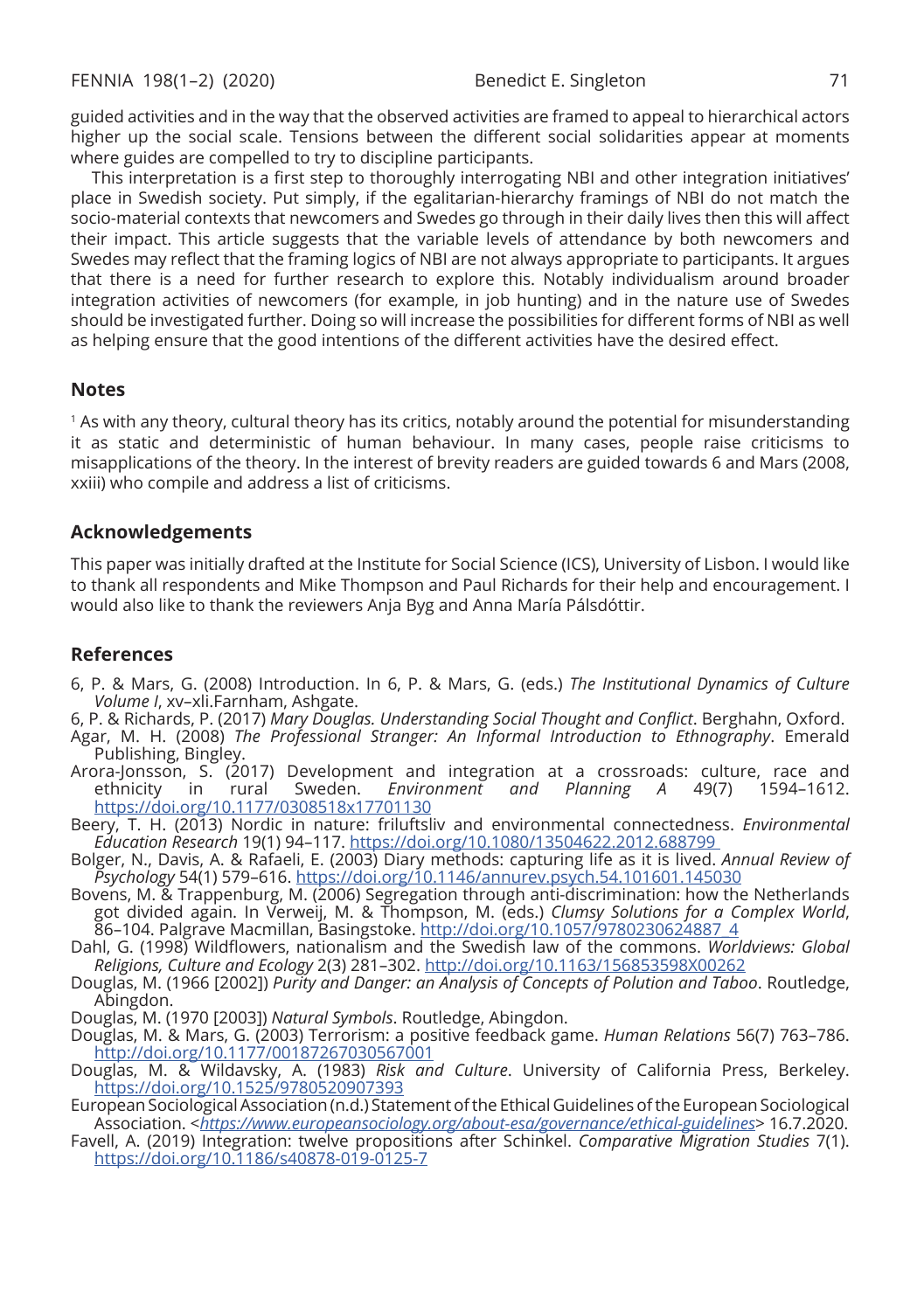guided activities and in the way that the observed activities are framed to appeal to hierarchical actors higher up the social scale. Tensions between the different social solidarities appear at moments where guides are compelled to try to discipline participants.

This interpretation is a first step to thoroughly interrogating NBI and other integration initiatives' place in Swedish society. Put simply, if the egalitarian-hierarchy framings of NBI do not match the socio-material contexts that newcomers and Swedes go through in their daily lives then this will affect their impact. This article suggests that the variable levels of attendance by both newcomers and Swedes may reflect that the framing logics of NBI are not always appropriate to participants. It argues that there is a need for further research to explore this. Notably individualism around broader integration activities of newcomers (for example, in job hunting) and in the nature use of Swedes should be investigated further. Doing so will increase the possibilities for different forms of NBI as well as helping ensure that the good intentions of the different activities have the desired effect.

#### **Notes**

<sup>1</sup> As with any theory, cultural theory has its critics, notably around the potential for misunderstanding it as static and deterministic of human behaviour. In many cases, people raise criticisms to misapplications of the theory. In the interest of brevity readers are guided towards 6 and Mars (2008, xxiii) who compile and address a list of criticisms.

#### **Acknowledgements**

This paper was initially drafted at the Institute for Social Science (ICS), University of Lisbon. I would like to thank all respondents and Mike Thompson and Paul Richards for their help and encouragement. I would also like to thank the reviewers Anja Byg and Anna María Pálsdóttir.

#### **References**

- 6, P. & Mars, G. (2008) Introduction. In 6, P. & Mars, G. (eds.) *The Institutional Dynamics of Culture Volume I*, xv–xli.Farnham, Ashgate.
- 6, P. & Richards, P. (2017) *Mary Douglas. Understanding Social Thought and Conflict*. Berghahn, Oxford.
- Agar, M. H. (2008) *The Professional Stranger: An Informal Introduction to Ethnography*. Emerald Publishing, Bingley.
- Arora-Jonsson, S. (2017) Development and integration at a crossroads: culture, race and<br>.ethnicity in rural Sweden. *Environment and Planning A* 49(7) 1594–1612 ethnicity in rural Sweden. *Environment and Planning A* 49(7) https://doi.org/10.1177/0308518x17701130
- Beery, T. H. (2013) Nordic in nature: friluftsliv and environmental connectedness. *Environmental Education Research* 19(1) 94–117. https://doi.org/10.1080/13504622.2012.688799
- Bolger, N., Davis, A. & Rafaeli, E. (2003) Diary methods: capturing life as it is lived. *Annual Review of Psychology* 54(1) 579–616. https://doi.org/10.1146/annurev.psych.54.101601.145030
- Bovens, M. & Trappenburg, M. (2006) Segregation through anti-discrimination: how the Netherlands got divided again. In Verweij, M. & Thompson, M. (eds.) *Clumsy Solutions for a Complex World*, 86–104. Palgrave Macmillan, Basingstoke. http://doi.org/10.1057/9780230624887\_4
- Dahl, G. (1998) Wildflowers, nationalism and the Swedish law of the commons. *Worldviews: Global Religions, Culture and Ecology* 2(3) 281–302. http://doi.org/10.1163/156853598X00262
- Douglas, M. (1966 [2002]) *Purity and Danger: an Analysis of Concepts of Polution and Taboo*. Routledge, Abingdon.
- Douglas, M. (1970 [2003]) *Natural Symbols*. Routledge, Abingdon.
- Douglas, M. & Mars, G. (2003) Terrorism: a positive feedback game. *Human Relations* 56(7) 763–786. http://doi.org/10.1177/00187267030567001
- Douglas, M. & Wildavsky, A. (1983) *Risk and Culture*. University of California Press, Berkeley. https://doi.org/10.1525/9780520907393
- European Sociological Association (n.d.) Statement of the Ethical Guidelines of the European Sociological Association. <*https://www.europeansociology.org/about-esa/governance/ethical-guidelines*> 16.7.2020.
- Favell, A. (2019) Integration: twelve propositions after Schinkel. *Comparative Migration Studies* 7(1). https://doi.org/10.1186/s40878-019-0125-7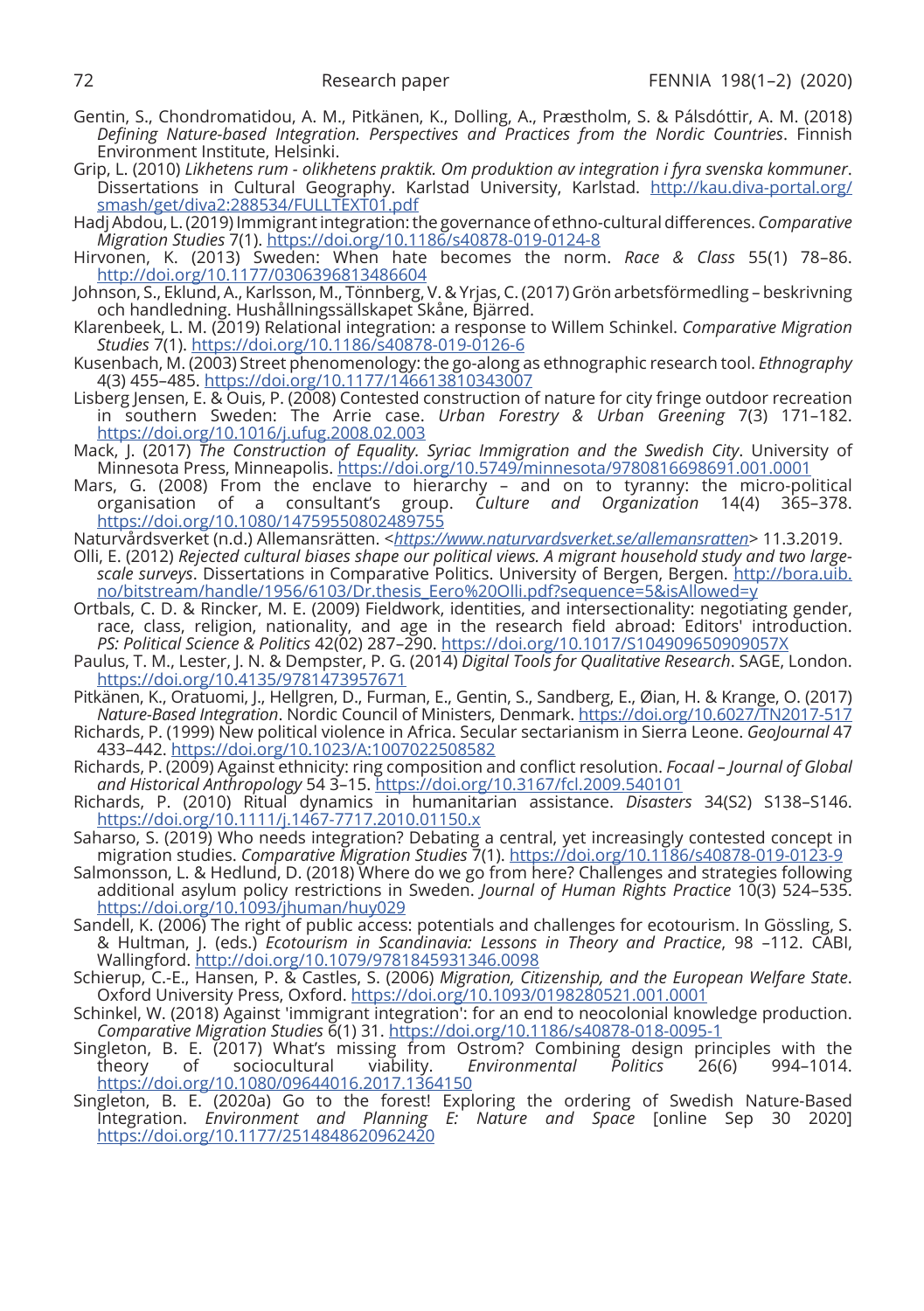- Gentin, S., Chondromatidou, A. M., Pitkänen, K., Dolling, A., Præstholm, S. & Pálsdóttir, A. M. (2018) *Defining Nature-based Integration. Perspectives and Practices from the Nordic Countries*. Finnish Environment Institute, Helsinki.
- Grip, L. (2010) *Likhetens rum olikhetens praktik. Om produktion av integration i fyra svenska kommuner*. Dissertations in Cultural Geography. Karlstad University, Karlstad. http://kau.diva-portal.org/ smash/get/diva2:288534/FULLTEXT01.pdf
- Hadj Abdou, L. (2019) Immigrant integration: the governance of ethno-cultural differences. *Comparative Migration Studies* 7(1). https://doi.org/10.1186/s40878-019-0124-8
- Hirvonen, K. (2013) Sweden: When hate becomes the norm. *Race & Class* 55(1) 78–86. http://doi.org/10.1177/0306396813486604
- Johnson, S., Eklund, A., Karlsson, M., Tönnberg, V. & Yrjas, C. (2017) Grön arbetsförmedling beskrivning och handledning. Hushållningssällskapet Skåne, Bjärred.
- Klarenbeek, L. M. (2019) Relational integration: a response to Willem Schinkel. *Comparative Migration Studies* 7(1). https://doi.org/10.1186/s40878-019-0126-6
- Kusenbach, M. (2003) Street phenomenology: the go-along as ethnographic research tool. *Ethnography* 4(3) 455–485. https://doi.org/10.1177/146613810343007
- Lisberg Jensen, E. & Ouis, P. (2008) Contested construction of nature for city fringe outdoor recreation in southern Sweden: The Arrie case. *Urban Forestry & Urban Greening* 7(3) 171–182. https://doi.org/10.1016/j.ufug.2008.02.003
- Mack, J. (2017) *The Construction of Equality. Syriac Immigration and the Swedish City*. University of Minnesota Press, Minneapolis. https://doi.org/10.5749/minnesota/9780816698691.001.0001
- Mars, G. (2008) From the enclave to hierarchy and on to tyranny: the micro-political organisation of a consultant's group. *Culture and Organization* 14(4) 365–378. Culture and Organization 14(4) 365-378. https://doi.org/10.1080/14759550802489755
- Naturvårdsverket (n.d.) Allemansrätten. <*https://www.naturvardsverket.se/allemansratten*> 11.3.2019. Olli, E. (2012) *Rejected cultural biases shape our political views. A migrant household study and two largescale surveys*. Dissertations in Comparative Politics. University of Bergen, Bergen. http://bora.uib. no/bitstream/handle/1956/6103/Dr.thesis\_Eero%20Olli.pdf?sequence=5&isAllowed=y
- Ortbals, C. D. & Rincker, M. E. (2009) Fieldwork, identities, and intersectionality: negotiating gender, race, class, religion, nationality, and age in the research field abroad: Editors' introduction. *PS: Political Science & Politics* 42(02) 287–290. https://doi.org/10.1017/S104909650909057X
- Paulus, T. M., Lester, J. N. & Dempster, P. G. (2014) *Digital Tools for Qualitative Research*. SAGE, London. https://doi.org/10.4135/9781473957671
- Pitkänen, K., Oratuomi, J., Hellgren, D., Furman, E., Gentin, S., Sandberg, E., Øian, H. & Krange, O. (2017) *Nature-Based Integration*. Nordic Council of Ministers, Denmark. https://doi.org/10.6027/TN2017-517
- Richards, P. (1999) New political violence in Africa. Secular sectarianism in Sierra Leone. *GeoJournal* 47 433–442. https://doi.org/10.1023/A:1007022508582
- Richards, P. (2009) Against ethnicity: ring composition and conflict resolution. *Focaal Journal of Global and Historical Anthropology* 54 3–15. https://doi.org/10.3167/fcl.2009.540101
- Richards, P. (2010) Ritual dynamics in humanitarian assistance. *Disasters* 34(S2) S138–S146. https://doi.org/10.1111/j.1467-7717.2010.01150.x
- Saharso, S. (2019) Who needs integration? Debating a central, yet increasingly contested concept in migration studies. *Comparative Migration Studies* 7(1). https://doi.org/10.1186/s40878-019-0123-9
- Salmonsson, L. & Hedlund, D. (2018) Where do we go from here? Challenges and strategies following additional asylum policy restrictions in Sweden. *Journal of Human Rights Practice* 10(3) 524–535. https://doi.org/10.1093/jhuman/huy029
- Sandell, K. (2006) The right of public access: potentials and challenges for ecotourism. In Gössling, S. & Hultman, J. (eds.) *Ecotourism in Scandinavia: Lessons in Theory and Practice*, 98 –112. CABI, Wallingford. http://doi.org/10.1079/9781845931346.0098
- Schierup, C.-E., Hansen, P. & Castles, S. (2006) *Migration, Citizenship, and the European Welfare State*. Oxford University Press, Oxford. https://doi.org/10.1093/0198280521.001.0001
- Schinkel, W. (2018) Against 'immigrant integration': for an end to neocolonial knowledge production. *Comparative Migration Studies* 6(1) 31. https://doi.org/10.1186/s40878-018-0095-1
- Singleton, B. E. (2017) What's missing from Ostrom? Combining design principles with the theory of sociocultural viability. *Environmental Politics* 26(6) 994–1014. https://doi.org/10.1080/09644016.2017.1364150
- Singleton, B. E. (2020a) Go to the forest! Exploring the ordering of Swedish Nature-Based Integration. *Environment and Planning E: Nature and Space* [online Sep 30 2020] https://doi.org/10.1177/2514848620962420